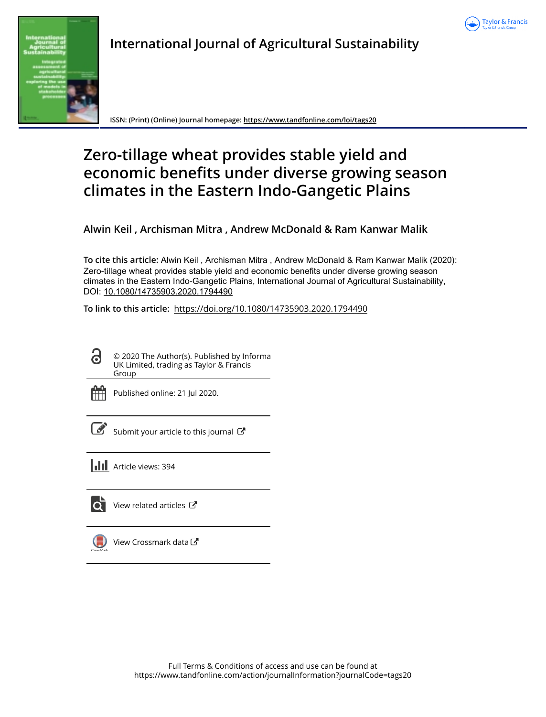

# **International Journal of Agricultural Sustainability**



**ISSN: (Print) (Online) Journal homepage:<https://www.tandfonline.com/loi/tags20>**

# **Zero-tillage wheat provides stable yield and economic benefits under diverse growing season climates in the Eastern Indo-Gangetic Plains**

**Alwin Keil , Archisman Mitra , Andrew McDonald & Ram Kanwar Malik**

**To cite this article:** Alwin Keil , Archisman Mitra , Andrew McDonald & Ram Kanwar Malik (2020): Zero-tillage wheat provides stable yield and economic benefits under diverse growing season climates in the Eastern Indo-Gangetic Plains, International Journal of Agricultural Sustainability, DOI: [10.1080/14735903.2020.1794490](https://www.tandfonline.com/action/showCitFormats?doi=10.1080/14735903.2020.1794490)

**To link to this article:** <https://doi.org/10.1080/14735903.2020.1794490>



© 2020 The Author(s). Published by Informa UK Limited, trading as Taylor & Francis Group



Published online: 21 Jul 2020.

[Submit your article to this journal](https://www.tandfonline.com/action/authorSubmission?journalCode=tags20&show=instructions)  $\mathbb{Z}$ 





**Q** [View related articles](https://www.tandfonline.com/doi/mlt/10.1080/14735903.2020.1794490) **C** 



[View Crossmark data](http://crossmark.crossref.org/dialog/?doi=10.1080/14735903.2020.1794490&domain=pdf&date_stamp=2020-07-21)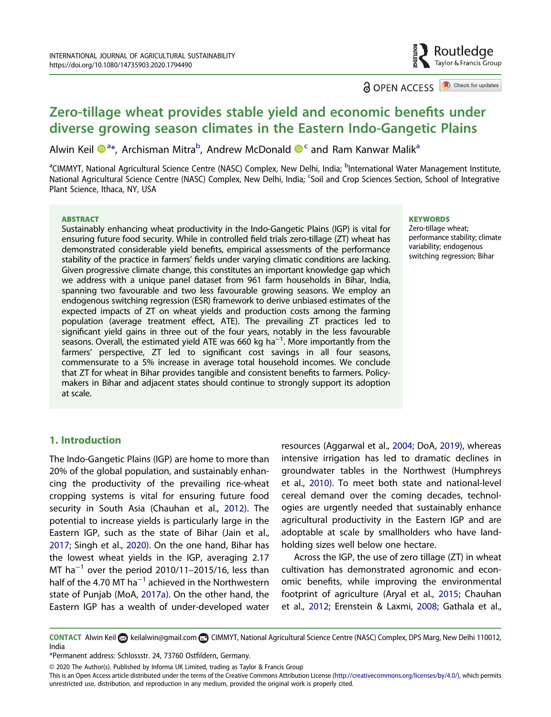

**a** OPEN ACCESS **D** Check for updates

## <span id="page-1-0"></span>Zero-tillage wheat provides stable yield and economic benefits under diverse growing season climates in the Eastern Indo-Gangetic Plains

Alwin Keil ���\*, Archisman Mitra<sup>b</sup>, Andrew McDonald ��� and Ram Kanwar Malik<sup>a</sup>

<sup>a</sup>CIMMYT, National Agricultural Science Centre (NASC) Complex, New Delhi, India; <sup>b</sup>International Water Management Institute, National Agricultural Science Centre (NASC) Complex, New Delhi, India; <sup>c</sup>Soil and Crop Sciences Section, School of Integrative Plant Science, Ithaca, NY, USA

#### **ABSTRACT**

Sustainably enhancing wheat productivity in the Indo-Gangetic Plains (IGP) is vital for ensuring future food security. While in controlled field trials zero-tillage (ZT) wheat has demonstrated considerable yield benefits, empirical assessments of the performance stability of the practice in farmers' fields under varying climatic conditions are lacking. Given progressive climate change, this constitutes an important knowledge gap which we address with a unique panel dataset from 961 farm households in Bihar, India, spanning two favourable and two less favourable growing seasons. We employ an endogenous switching regression (ESR) framework to derive unbiased estimates of the expected impacts of ZT on wheat yields and production costs among the farming population (average treatment effect, ATE). The prevailing ZT practices led to significant yield gains in three out of the four years, notably in the less favourable seasons. Overall, the estimated yield ATE was 660 kg ha<sup>−1</sup>. More importantly from the farmers' perspective, ZT led to significant cost savings in all four seasons, commensurate to a 5% increase in average total household incomes. We conclude that ZT for wheat in Bihar provides tangible and consistent benefits to farmers. Policymakers in Bihar and adjacent states should continue to strongly support its adoption at scale.

#### **KEYWORDS**

Zero-tillage wheat; performance stability; climate variability; endogenous switching regression; Bihar

## 1. Introduction

The Indo-Gangetic Plains (IGP) are home to more than 20% of the global population, and sustainably enhancing the productivity of the prevailing rice-wheat cropping systems is vital for ensuring future food security in South Asia (Chauhan et al., [2012\)](#page-25-0). The potential to increase yields is particularly large in the Eastern IGP, such as the state of Bihar (Jain et al., [2017](#page-26-0); Singh et al., [2020](#page-27-0)). On the one hand, Bihar has the lowest wheat yields in the IGP, averaging 2.17 MT ha−<sup>1</sup> over the period 2010/11–2015/16, less than half of the 4.70 MT  $ha^{-1}$  achieved in the Northwestern state of Punjab (MoA, [2017a](#page-26-0)). On the other hand, the Eastern IGP has a wealth of under-developed water resources (Aggarwal et al., [2004](#page-25-0); DoA, [2019](#page-25-0)), whereas intensive irrigation has led to dramatic declines in groundwater tables in the Northwest (Humphreys et al., [2010](#page-26-0)). To meet both state and national-level cereal demand over the coming decades, technologies are urgently needed that sustainably enhance agricultural productivity in the Eastern IGP and are adoptable at scale by smallholders who have landholding sizes well below one hectare.

Across the IGP, the use of zero tillage (ZT) in wheat cultivation has demonstrated agronomic and economic benefits, while improving the environmental footprint of agriculture (Aryal et al., [2015](#page-25-0); Chauhan et al., [2012;](#page-25-0) Erenstein & Laxmi, [2008](#page-25-0); Gathala et al.,

CONTACT Alwin Keil & [keilalwin@gmail.com](mailto:keilalwin@gmail.com) **C**OCIMMYT, National Agricultural Science Centre (NASC) Complex, DPS Marg, New Delhi 110012, India

<sup>\*</sup>Permanent address: Schlossstr. 24, 73760 Ostfildern, Germany.

<sup>© 2020</sup> The Author(s). Published by Informa UK Limited, trading as Taylor & Francis Group

This is an Open Access article distributed under the terms of the Creative Commons Attribution License ([http://creativecommons.org/licenses/by/4.0/\)](http://creativecommons.org/licenses/by/4.0/), which permits unrestricted use, distribution, and reproduction in any medium, provided the original work is properly cited.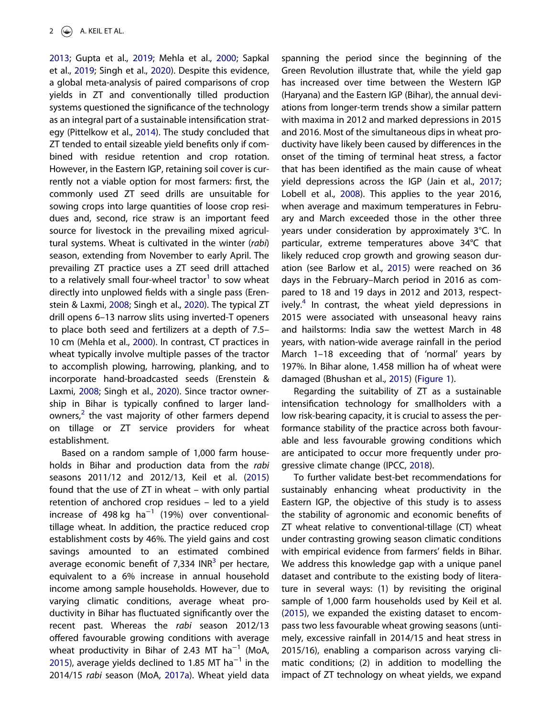<span id="page-2-0"></span>[2013](#page-25-0); Gupta et al., [2019;](#page-26-0) Mehla et al., [2000;](#page-26-0) Sapkal et al., [2019;](#page-26-0) Singh et al., [2020](#page-27-0)). Despite this evidence, a global meta-analysis of paired comparisons of crop yields in ZT and conventionally tilled production systems questioned the significance of the technology as an integral part of a sustainable intensification strategy (Pittelkow et al., [2014](#page-26-0)). The study concluded that ZT tended to entail sizeable yield benefits only if combined with residue retention and crop rotation. However, in the Eastern IGP, retaining soil cover is currently not a viable option for most farmers: first, the commonly used ZT seed drills are unsuitable for sowing crops into large quantities of loose crop residues and, second, rice straw is an important feed source for livestock in the prevailing mixed agricultural systems. Wheat is cultivated in the winter (*rabi*) season, extending from November to early April. The prevailing ZT practice uses a ZT seed drill attached to a relatively small four-wheel tractor $^1$  $^1$  to sow wheat directly into unplowed fields with a single pass (Erenstein & Laxmi, [2008;](#page-25-0) Singh et al., [2020\)](#page-27-0). The typical ZT drill opens 6–13 narrow slits using inverted-T openers to place both seed and fertilizers at a depth of 7.5– 10 cm (Mehla et al., [2000\)](#page-26-0). In contrast, CT practices in wheat typically involve multiple passes of the tractor to accomplish plowing, harrowing, planking, and to incorporate hand-broadcasted seeds (Erenstein & Laxmi, [2008](#page-25-0); Singh et al., [2020\)](#page-27-0). Since tractor ownership in Bihar is typically confined to larger landowners, $^2$  $^2$  the vast majority of other farmers depend on tillage or ZT service providers for wheat establishment.

Based on a random sample of 1,000 farm households in Bihar and production data from the *rabi* seasons 2011/12 and 2012/13, Keil et al. ([2015](#page-26-0)) found that the use of ZT in wheat – with only partial retention of anchored crop residues – led to a yield increase of 498 kg ha−<sup>1</sup> (19%) over conventionaltillage wheat. In addition, the practice reduced crop establishment costs by 46%. The yield gains and cost savings amounted to an estimated combined average economic benefit of 7,[3](#page-24-0)34 INR $^3$  per hectare, equivalent to a 6% increase in annual household income among sample households. However, due to varying climatic conditions, average wheat productivity in Bihar has fluctuated significantly over the recent past. Whereas the *rabi* season 2012/13 offered favourable growing conditions with average wheat productivity in Bihar of 2.43 MT ha−<sup>1</sup> (MoA, [2015](#page-26-0)), average yields declined to 1.85 MT ha<sup>-1</sup> in the 2014/15 *rabi* season (MoA, [2017a](#page-26-0)). Wheat yield data spanning the period since the beginning of the Green Revolution illustrate that, while the yield gap has increased over time between the Western IGP (Haryana) and the Eastern IGP (Bihar), the annual deviations from longer-term trends show a similar pattern with maxima in 2012 and marked depressions in 2015 and 2016. Most of the simultaneous dips in wheat productivity have likely been caused by differences in the onset of the timing of terminal heat stress, a factor that has been identified as the main cause of wheat yield depressions across the IGP (Jain et al., [2017;](#page-26-0) Lobell et al., [2008](#page-26-0)). This applies to the year 2016, when average and maximum temperatures in February and March exceeded those in the other three years under consideration by approximately 3°C. In particular, extreme temperatures above 34°C that likely reduced crop growth and growing season duration (see Barlow et al., [2015](#page-25-0)) were reached on 36 days in the February–March period in 2016 as compared to 18 and 19 days in 2012 and 2013, respect-ively.<sup>[4](#page-24-0)</sup> In contrast, the wheat yield depressions in 2015 were associated with unseasonal heavy rains and hailstorms: India saw the wettest March in 48 years, with nation-wide average rainfall in the period March 1–18 exceeding that of 'normal' years by 197%. In Bihar alone, 1.458 million ha of wheat were damaged (Bhushan et al., [2015\)](#page-25-0) [\(Figure 1\)](#page-3-0).

Regarding the suitability of ZT as a sustainable intensification technology for smallholders with a low risk-bearing capacity, it is crucial to assess the performance stability of the practice across both favourable and less favourable growing conditions which are anticipated to occur more frequently under progressive climate change (IPCC, [2018\)](#page-26-0).

To further validate best-bet recommendations for sustainably enhancing wheat productivity in the Eastern IGP, the objective of this study is to assess the stability of agronomic and economic benefits of ZT wheat relative to conventional-tillage (CT) wheat under contrasting growing season climatic conditions with empirical evidence from farmers' fields in Bihar. We address this knowledge gap with a unique panel dataset and contribute to the existing body of literature in several ways: (1) by revisiting the original sample of 1,000 farm households used by Keil et al. ([2015\)](#page-26-0), we expanded the existing dataset to encompass two less favourable wheat growing seasons (untimely, excessive rainfall in 2014/15 and heat stress in 2015/16), enabling a comparison across varying climatic conditions; (2) in addition to modelling the impact of ZT technology on wheat yields, we expand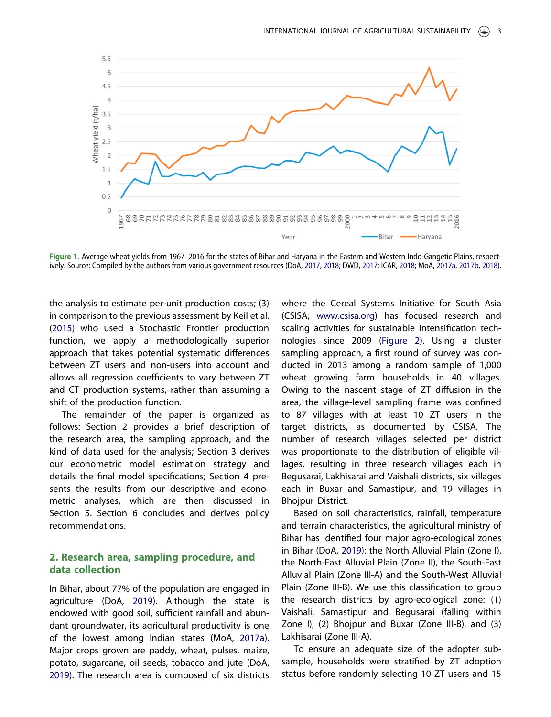<span id="page-3-0"></span>

Figure 1. Average wheat yields from 1967–2016 for the states of Bihar and Haryana in the Eastern and Western Indo-Gangetic Plains, respectively. Source: Compiled by the authors from various government resources (DoA, [2017](#page-25-0), [2018;](#page-25-0) DWD, [2017](#page-25-0); ICAR, [2018](#page-26-0); MoA, [2017a](#page-26-0), [2017b,](#page-26-0) [2018\)](#page-26-0).

the analysis to estimate per-unit production costs; (3) in comparison to the previous assessment by Keil et al. ([2015](#page-26-0)) who used a Stochastic Frontier production function, we apply a methodologically superior approach that takes potential systematic differences between ZT users and non-users into account and allows all regression coefficients to vary between ZT and CT production systems, rather than assuming a shift of the production function.

The remainder of the paper is organized as follows: Section 2 provides a brief description of the research area, the sampling approach, and the kind of data used for the analysis; Section 3 derives our econometric model estimation strategy and details the final model specifications; Section 4 presents the results from our descriptive and econometric analyses, which are then discussed in Section 5. Section 6 concludes and derives policy recommendations.

## 2. Research area, sampling procedure, and data collection

In Bihar, about 77% of the population are engaged in agriculture (DoA, [2019\)](#page-25-0). Although the state is endowed with good soil, sufficient rainfall and abundant groundwater, its agricultural productivity is one of the lowest among Indian states (MoA, [2017a](#page-26-0)). Major crops grown are paddy, wheat, pulses, maize, potato, sugarcane, oil seeds, tobacco and jute (DoA, [2019](#page-25-0)). The research area is composed of six districts where the Cereal Systems Initiative for South Asia (CSISA; [www.csisa.org](http://www.csisa.org)) has focused research and scaling activities for sustainable intensification technologies since 2009 [\(Figure 2](#page-4-0)). Using a cluster sampling approach, a first round of survey was conducted in 2013 among a random sample of 1,000 wheat growing farm households in 40 villages. Owing to the nascent stage of ZT diffusion in the area, the village-level sampling frame was confined to 87 villages with at least 10 ZT users in the target districts, as documented by CSISA. The number of research villages selected per district was proportionate to the distribution of eligible villages, resulting in three research villages each in Begusarai, Lakhisarai and Vaishali districts, six villages each in Buxar and Samastipur, and 19 villages in **Bhoipur District.** 

Based on soil characteristics, rainfall, temperature and terrain characteristics, the agricultural ministry of Bihar has identified four major agro-ecological zones in Bihar (DoA, [2019\)](#page-25-0): the North Alluvial Plain (Zone I), the North-East Alluvial Plain (Zone II), the South-East Alluvial Plain (Zone III-A) and the South-West Alluvial Plain (Zone III-B). We use this classification to group the research districts by agro-ecological zone: (1) Vaishali, Samastipur and Begusarai (falling within Zone I), (2) Bhojpur and Buxar (Zone III-B), and (3) Lakhisarai (Zone III-A).

To ensure an adequate size of the adopter subsample, households were stratified by ZT adoption status before randomly selecting 10 ZT users and 15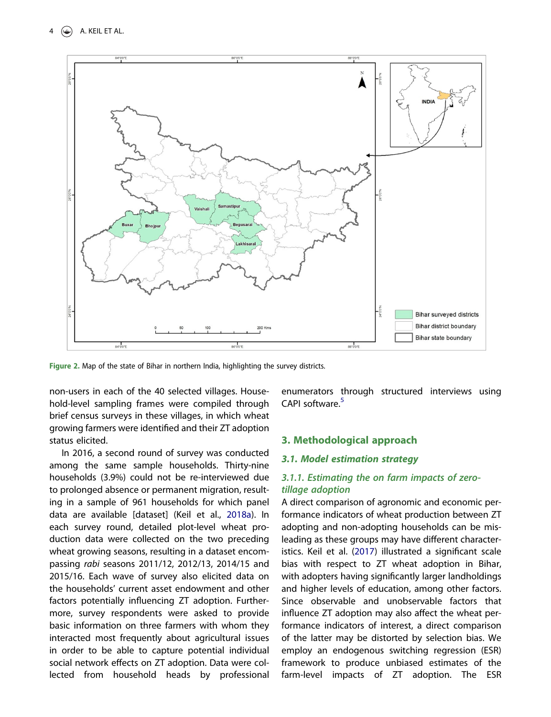<span id="page-4-0"></span>

Figure 2. Map of the state of Bihar in northern India, highlighting the survey districts.

non-users in each of the 40 selected villages. Household-level sampling frames were compiled through brief census surveys in these villages, in which wheat growing farmers were identified and their ZT adoption status elicited.

In 2016, a second round of survey was conducted among the same sample households. Thirty-nine households (3.9%) could not be re-interviewed due to prolonged absence or permanent migration, resulting in a sample of 961 households for which panel data are available [dataset] (Keil et al., [2018a](#page-26-0)). In each survey round, detailed plot-level wheat production data were collected on the two preceding wheat growing seasons, resulting in a dataset encompassing *rabi* seasons 2011/12, 2012/13, 2014/15 and 2015/16. Each wave of survey also elicited data on the households' current asset endowment and other factors potentially influencing ZT adoption. Furthermore, survey respondents were asked to provide basic information on three farmers with whom they interacted most frequently about agricultural issues in order to be able to capture potential individual social network effects on ZT adoption. Data were collected from household heads by professional enumerators through structured interviews using CAPI software.<sup>[5](#page-24-0)</sup>

### 3. Methodological approach

#### 3.1. Model estimation strategy

## *3.1.1. Estimating the on farm impacts of zerotillage adoption*

A direct comparison of agronomic and economic performance indicators of wheat production between ZT adopting and non-adopting households can be misleading as these groups may have different characteristics. Keil et al. ([2017](#page-26-0)) illustrated a significant scale bias with respect to ZT wheat adoption in Bihar, with adopters having significantly larger landholdings and higher levels of education, among other factors. Since observable and unobservable factors that influence ZT adoption may also affect the wheat performance indicators of interest, a direct comparison of the latter may be distorted by selection bias. We employ an endogenous switching regression (ESR) framework to produce unbiased estimates of the farm-level impacts of ZT adoption. The ESR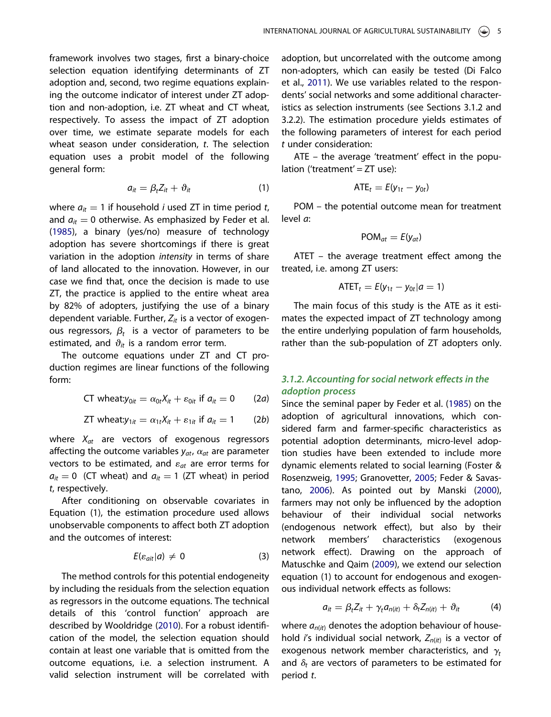<span id="page-5-0"></span>framework involves two stages, first a binary-choice selection equation identifying determinants of ZT adoption and, second, two regime equations explaining the outcome indicator of interest under ZT adoption and non-adoption, i.e. ZT wheat and CT wheat, respectively. To assess the impact of ZT adoption over time, we estimate separate models for each wheat season under consideration, *t*. The selection equation uses a probit model of the following general form:

$$
a_{it} = \beta_t Z_{it} + \vartheta_{it} \tag{1}
$$

where  $a_{it} = 1$  if household *i* used ZT in time period *t*, and  $a_{it} = 0$  otherwise. As emphasized by Feder et al. ([1985](#page-25-0)), a binary (yes/no) measure of technology adoption has severe shortcomings if there is great variation in the adoption *intensity* in terms of share of land allocated to the innovation. However, in our case we find that, once the decision is made to use ZT, the practice is applied to the entire wheat area by 82% of adopters, justifying the use of a binary dependent variable. Further,  $Z_{it}$  is a vector of exogenous regressors,  $\beta_t$  is a vector of parameters to be estimated, and  $\vartheta_{it}$  is a random error term.

The outcome equations under ZT and CT production regimes are linear functions of the following form:

CT wheat:
$$
y_{0it} = \alpha_{0t}X_{it} + \varepsilon_{0it}
$$
 if  $a_{it} = 0$  (2*a*)

ZT wheat:
$$
y_{1it} = \alpha_{1t}X_{it} + \varepsilon_{1it}
$$
 if  $a_{it} = 1$  (2b)

where *Xat* are vectors of exogenous regressors affecting the outcome variables  $y_{at}$ ,  $\alpha_{at}$  are parameter vectors to be estimated, and  $\varepsilon_{at}$  are error terms for  $a_{it} = 0$  (CT wheat) and  $a_{it} = 1$  (ZT wheat) in period *t*, respectively.

After conditioning on observable covariates in Equation (1), the estimation procedure used allows unobservable components to affect both ZT adoption and the outcomes of interest:

$$
E(\varepsilon_{ait}|a) \neq 0 \tag{3}
$$

The method controls for this potential endogeneity by including the residuals from the selection equation as regressors in the outcome equations. The technical details of this 'control function' approach are described by Wooldridge ([2010](#page-27-0)). For a robust identification of the model, the selection equation should contain at least one variable that is omitted from the outcome equations, i.e. a selection instrument. A valid selection instrument will be correlated with adoption, but uncorrelated with the outcome among non-adopters, which can easily be tested (Di Falco et al., [2011\)](#page-25-0). We use variables related to the respondents' social networks and some additional characteristics as selection instruments (see Sections 3.1.2 and 3.2.2). The estimation procedure yields estimates of the following parameters of interest for each period *t* under consideration:

ATE – the average 'treatment' effect in the population ('treatment' =  $ZT$  use):

$$
ATE_t = E(y_{1t} - y_{0t})
$$

POM – the potential outcome mean for treatment level *a*:

$$
POM_{at}=E(y_{at})
$$

ATET – the average treatment effect among the treated, i.e. among ZT users:

$$
ATET_t = E(y_{1t} - y_{0t} | a = 1)
$$

The main focus of this study is the ATE as it estimates the expected impact of ZT technology among the entire underlying population of farm households, rather than the sub-population of ZT adopters only.

## *3.1.2. Accounting for social network e*ff*ects in the adoption process*

Since the seminal paper by Feder et al. [\(1985\)](#page-25-0) on the adoption of agricultural innovations, which considered farm and farmer-specific characteristics as potential adoption determinants, micro-level adoption studies have been extended to include more dynamic elements related to social learning (Foster & Rosenzweig, [1995;](#page-25-0) Granovetter, [2005;](#page-25-0) Feder & Savastano, [2006\)](#page-25-0). As pointed out by Manski ([2000](#page-26-0)), farmers may not only be influenced by the adoption behaviour of their individual social networks (endogenous network effect), but also by their network members' characteristics (exogenous network effect). Drawing on the approach of Matuschke and Qaim [\(2009\)](#page-26-0), we extend our selection equation (1) to account for endogenous and exogenous individual network effects as follows:

$$
a_{it} = \beta_t Z_{it} + \gamma_t a_{n(it)} + \delta_t Z_{n(it)} + \vartheta_{it} \tag{4}
$$

where  $a_{n(it)}$  denotes the adoption behaviour of household *i*'s individual social network, *Zn*(*it*) is a vector of exogenous network member characteristics, and  $\gamma_t$ and  $\delta_t$  are vectors of parameters to be estimated for period *t*.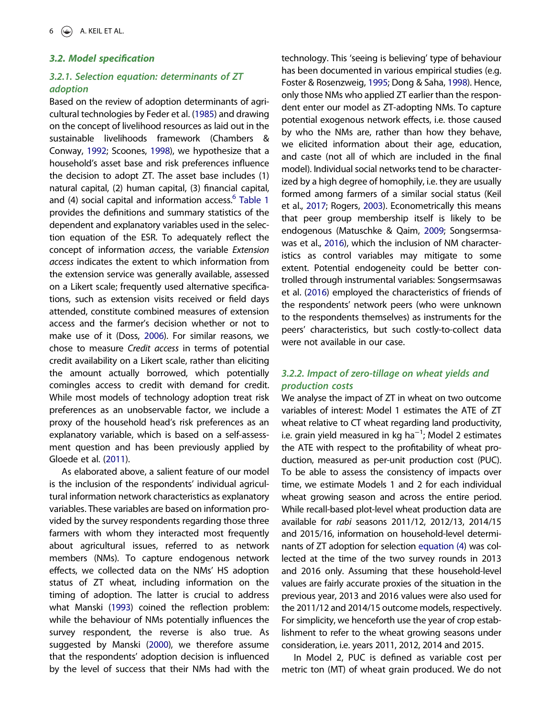#### <span id="page-6-0"></span>3.2. Model specification

## *3.2.1. Selection equation: determinants of ZT adoption*

Based on the review of adoption determinants of agricultural technologies by Feder et al. [\(1985](#page-25-0)) and drawing on the concept of livelihood resources as laid out in the sustainable livelihoods framework (Chambers & Conway, [1992](#page-25-0); Scoones, [1998](#page-26-0)), we hypothesize that a household's asset base and risk preferences influence the decision to adopt ZT. The asset base includes (1) natural capital, (2) human capital, (3) financial capital, and (4) social capital and information access.<sup>[6](#page-24-0)</sup> [Table 1](#page-7-0) provides the definitions and summary statistics of the dependent and explanatory variables used in the selection equation of the ESR. To adequately reflect the concept of information *access*, the variable *Extension access* indicates the extent to which information from the extension service was generally available, assessed on a Likert scale; frequently used alternative specifications, such as extension visits received or field days attended, constitute combined measures of extension access and the farmer's decision whether or not to make use of it (Doss, [2006](#page-25-0)). For similar reasons, we chose to measure *Credit access* in terms of potential credit availability on a Likert scale, rather than eliciting the amount actually borrowed, which potentially comingles access to credit with demand for credit. While most models of technology adoption treat risk preferences as an unobservable factor, we include a proxy of the household head's risk preferences as an explanatory variable, which is based on a self-assessment question and has been previously applied by Gloede et al. ([2011\)](#page-25-0).

As elaborated above, a salient feature of our model is the inclusion of the respondents' individual agricultural information network characteristics as explanatory variables. These variables are based on information provided by the survey respondents regarding those three farmers with whom they interacted most frequently about agricultural issues, referred to as network members (NMs). To capture endogenous network effects, we collected data on the NMs' HS adoption status of ZT wheat, including information on the timing of adoption. The latter is crucial to address what Manski [\(1993](#page-26-0)) coined the reflection problem: while the behaviour of NMs potentially influences the survey respondent, the reverse is also true. As suggested by Manski ([2000\)](#page-26-0), we therefore assume that the respondents' adoption decision is influenced by the level of success that their NMs had with the technology. This 'seeing is believing' type of behaviour has been documented in various empirical studies (e.g. Foster & Rosenzweig, [1995](#page-25-0); Dong & Saha, [1998\)](#page-25-0). Hence, only those NMs who applied ZT earlier than the respondent enter our model as ZT-adopting NMs. To capture potential exogenous network effects, i.e. those caused by who the NMs are, rather than how they behave, we elicited information about their age, education, and caste (not all of which are included in the final model). Individual social networks tend to be characterized by a high degree of homophily, i.e. they are usually formed among farmers of a similar social status (Keil et al., [2017;](#page-26-0) Rogers, [2003](#page-26-0)). Econometrically this means that peer group membership itself is likely to be endogenous (Matuschke & Qaim, [2009;](#page-26-0) Songsermsawas et al., [2016\)](#page-27-0), which the inclusion of NM characteristics as control variables may mitigate to some extent. Potential endogeneity could be better controlled through instrumental variables: Songsermsawas et al. ([2016\)](#page-27-0) employed the characteristics of friends of the respondents' network peers (who were unknown to the respondents themselves) as instruments for the peers' characteristics, but such costly-to-collect data were not available in our case.

## *3.2.2. Impact of zero-tillage on wheat yields and production costs*

We analyse the impact of ZT in wheat on two outcome variables of interest: Model 1 estimates the ATE of ZT wheat relative to CT wheat regarding land productivity, i.e. grain yield measured in kg ha−<sup>1</sup> ; Model 2 estimates the ATE with respect to the profitability of wheat production, measured as per-unit production cost (PUC). To be able to assess the consistency of impacts over time, we estimate Models 1 and 2 for each individual wheat growing season and across the entire period. While recall-based plot-level wheat production data are available for *rabi* seasons 2011/12, 2012/13, 2014/15 and 2015/16, information on household-level determinants of ZT adoption for selection equation (4) was collected at the time of the two survey rounds in 2013 and 2016 only. Assuming that these household-level values are fairly accurate proxies of the situation in the previous year, 2013 and 2016 values were also used for the 2011/12 and 2014/15 outcome models, respectively. For simplicity, we henceforth use the year of crop establishment to refer to the wheat growing seasons under consideration, i.e. years 2011, 2012, 2014 and 2015.

In Model 2, PUC is defined as variable cost per metric ton (MT) of wheat grain produced. We do not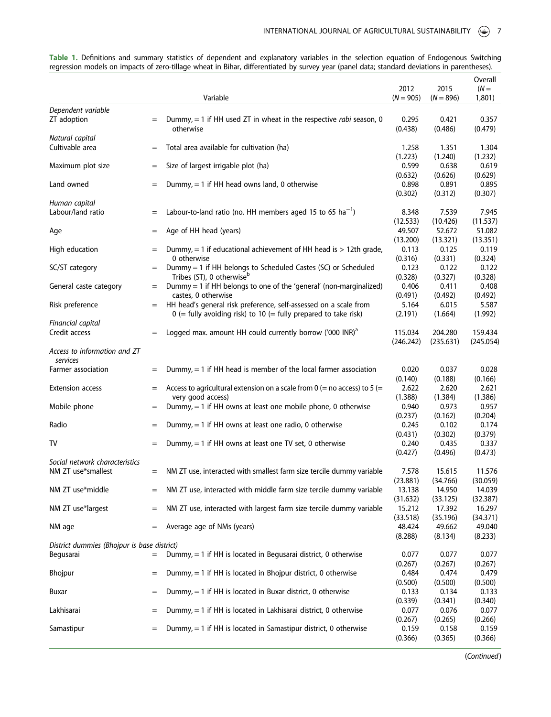Variable 2012  $(N = 905)$ 2015  $(N = 896)$ **Overall**  $(N =$ 1,801) Dependent variable ZT adoption  $=$  Dummy,  $=$  1 if HH used ZT in wheat in the respective rabi season, 0 otherwise 0.295 (0.438) 0.421 (0.486) 0.357 (0.479) Natural capital Cultivable area  $=$  Total area available for cultivation (ha)  $1.258$ (1.223) 1.351 (1.240) 1.304 (1.232) Maximum plot size  $=$  Size of largest irrigable plot (ha)  $0.599$ (0.632) 0.638 (0.626) 0.619 (0.629) Land owned  $=$  Dummy,  $=$  1 if HH head owns land, 0 otherwise 0.898 (0.302) 0.891 (0.312) 0.895 (0.307) Human capital Labour/land ratio  $=$  Labour-to-land ratio (no. HH members aged 15 to 65 ha<sup>-1</sup>) ) 8.348 (12.533) 7.539 (10.426) 7.945 (11.537) Age  $=$  Age of HH head (years) 49.507 (13.200) 52.672 (13.321) 51.082 (13.351) High education  $=$  Dummy,  $=$  1 if educational achievement of HH head is  $>$  12th grade, 0 otherwise 0.113 (0.316) 0.125 (0.331) 0.119 (0.324) SC/ST category  $=$  Dummy = 1 if HH belongs to Scheduled Castes (SC) or Scheduled Tribes (ST), 0 otherwise 0.123 (0.328) 0.122 (0.327) 0.122 (0.328) General caste category  $=$  Dummy  $=$  1 if HH belongs to one of the 'general' (non-marginalized) castes, 0 otherwise 0.406 (0.491) 0.411 (0.492) 0.408 (0.492) Risk preference  $=$  HH head's general risk preference, self-assessed on a scale from  $0$  (= fully avoiding risk) to 10 (= fully prepared to take risk) 5.164 (2.191) 6.015 (1.664) 5.587 (1.992) Financial capital Credit access  $=$  Logged max. amount HH could currently borrow ('000 INR)<sup>a</sup> 115.034 (246.242) 204.280 (235.631) 159.434 (245.054) Access to information and ZT services Farmer association  $=$  Dummy,  $=$  1 if HH head is member of the local farmer association 0.020 (0.140) 0.037 (0.188) 0.028 (0.166) Extension access  $=$  Access to agricultural extension on a scale from  $0$  (= no access) to 5 (= very good access) 2.622 (1.388) 2.620 (1.384) 2.621 (1.386) Mobile phone  $=$  Dummy,  $=$  1 if HH owns at least one mobile phone, 0 otherwise 0.940 (0.237) 0.973 (0.162) 0.957 (0.204) Radio  $=$  Dummy, = 1 if HH owns at least one radio, 0 otherwise 0.245 (0.431) 0.102 (0.302) 0.174 (0.379) TV  $=$  Dummy,  $=$  1 if HH owns at least one TV set, 0 otherwise 0.240 (0.427) 0.435 (0.496) 0.337 (0.473) Social network characteristics<br>NM ZT use\*smallest  $=$  NM ZT use, interacted with smallest farm size tercile dummy variable  $7.578$ (23.881) 15.615 (34.766) 11.576 (30.059) NM ZT use $*$ middle  $=$  NM ZT use, interacted with middle farm size tercile dummy variable 13.138 (31.632) 14.950 (33.125) 14.039 (32.387) NM ZT use\*largest  $=$  NM ZT use, interacted with largest farm size tercile dummy variable 15.212 (33.518) 17.392 (35.196) 16.297 (34.371) NM age  $=$  Average age of NMs (years)  $48.424$ (8.288) 49.662 (8.134) 49.040 (8.233) District dummies (Bhojpur is base district) Begusarai  $=$  Dummy,  $=$  1 if HH is located in Begusarai district, 0 otherwise 0.077 (0.267) 0.077 (0.267) 0.077 (0.267) Bhojpur  $=$  Dummy,  $=$  1 if HH is located in Bhojpur district, 0 otherwise 0.484 (0.500) 0.474 (0.500) 0.479 (0.500) Buxar  $=$  Dummy,  $=$  1 if HH is located in Buxar district, 0 otherwise 0.133 (0.339) 0.134 (0.341) 0.133 (0.340) Lakhisarai  $=$  Dummy,  $=$  1 if HH is located in Lakhisarai district, 0 otherwise 0.077  $(0.267)$ 0.076 (0.265) 0.077 (0.266) Samastipur  $=$  Dummy,  $=$  1 if HH is located in Samastipur district, 0 otherwise 0.159 (0.366) 0.158 (0.365) 0.159 (0.366)

<span id="page-7-0"></span>Table 1. Definitions and summary statistics of dependent and explanatory variables in the selection equation of Endogenous Switching regression models on impacts of zero-tillage wheat in Bihar, differentiated by survey year (panel data; standard deviations in parentheses).

(Continued)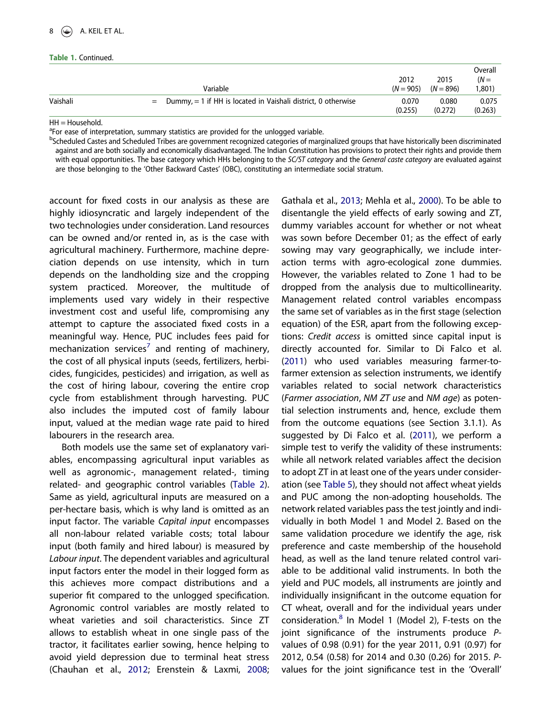|  |  | <b>Table 1. Continued.</b> |
|--|--|----------------------------|
|--|--|----------------------------|

|          | Variable                                                            | 2012<br>$(N = 905)$ $(N = 896)$ | 2015             | Overall<br>$(N =$<br>1,801) |
|----------|---------------------------------------------------------------------|---------------------------------|------------------|-----------------------------|
| Vaishali | $=$ Dummy, $=$ 1 if HH is located in Vaishali district, 0 otherwise | 0.070<br>(0.255)                | 0.080<br>(0.272) | 0.075<br>(0.263)            |

 $HH = Household.$ 

<sup>a</sup>For ease of interpretation, summary statistics are provided for the unlogged variable.

<sup>b</sup>Scheduled Castes and Scheduled Tribes are government recognized categories of marginalized groups that have historically been discriminated against and are both socially and economically disadvantaged. The Indian Constitution has provisions to protect their rights and provide them with equal opportunities. The base category which HHs belonging to the SC/ST category and the General caste category are evaluated against are those belonging to the 'Other Backward Castes' (OBC), constituting an intermediate social stratum.

account for fixed costs in our analysis as these are highly idiosyncratic and largely independent of the two technologies under consideration. Land resources can be owned and/or rented in, as is the case with agricultural machinery. Furthermore, machine depreciation depends on use intensity, which in turn depends on the landholding size and the cropping system practiced. Moreover, the multitude of implements used vary widely in their respective investment cost and useful life, compromising any attempt to capture the associated fixed costs in a meaningful way. Hence, PUC includes fees paid for mechanization services<sup>[7](#page-24-0)</sup> and renting of machinery, the cost of all physical inputs (seeds, fertilizers, herbicides, fungicides, pesticides) and irrigation, as well as the cost of hiring labour, covering the entire crop cycle from establishment through harvesting. PUC also includes the imputed cost of family labour input, valued at the median wage rate paid to hired labourers in the research area.

Both models use the same set of explanatory variables, encompassing agricultural input variables as well as agronomic-, management related-, timing related- and geographic control variables ([Table 2](#page-9-0)). Same as yield, agricultural inputs are measured on a per-hectare basis, which is why land is omitted as an input factor. The variable *Capital input* encompasses all non-labour related variable costs; total labour input (both family and hired labour) is measured by *Labour input*. The dependent variables and agricultural input factors enter the model in their logged form as this achieves more compact distributions and a superior fit compared to the unlogged specification. Agronomic control variables are mostly related to wheat varieties and soil characteristics. Since ZT allows to establish wheat in one single pass of the tractor, it facilitates earlier sowing, hence helping to avoid yield depression due to terminal heat stress (Chauhan et al., [2012;](#page-25-0) Erenstein & Laxmi, [2008;](#page-25-0)

Gathala et al., [2013;](#page-25-0) Mehla et al., [2000\)](#page-26-0). To be able to disentangle the yield effects of early sowing and ZT, dummy variables account for whether or not wheat was sown before December 01; as the effect of early sowing may vary geographically, we include interaction terms with agro-ecological zone dummies. However, the variables related to Zone 1 had to be dropped from the analysis due to multicollinearity. Management related control variables encompass the same set of variables as in the first stage (selection equation) of the ESR, apart from the following exceptions: *Credit access* is omitted since capital input is directly accounted for. Similar to Di Falco et al. ([2011\)](#page-25-0) who used variables measuring farmer-tofarmer extension as selection instruments, we identify variables related to social network characteristics (*Farmer association*, *NM ZT use* and *NM age*) as potential selection instruments and, hence, exclude them from the outcome equations (see Section 3.1.1). As suggested by Di Falco et al. [\(2011\)](#page-25-0), we perform a simple test to verify the validity of these instruments: while all network related variables affect the decision to adopt ZT in at least one of the years under consideration (see [Table 5\)](#page-11-0), they should not affect wheat yields and PUC among the non-adopting households. The network related variables pass the test jointly and individually in both Model 1 and Model 2. Based on the same validation procedure we identify the age, risk preference and caste membership of the household head, as well as the land tenure related control variable to be additional valid instruments. In both the yield and PUC models, all instruments are jointly and individually insignificant in the outcome equation for CT wheat, overall and for the individual years under consideration.<sup>[8](#page-24-0)</sup> In Model 1 (Model 2), F-tests on the joint significance of the instruments produce *P*values of 0.98 (0.91) for the year 2011, 0.91 (0.97) for 2012, 0.54 (0.58) for 2014 and 0.30 (0.26) for 2015. *P*values for the joint significance test in the 'Overall'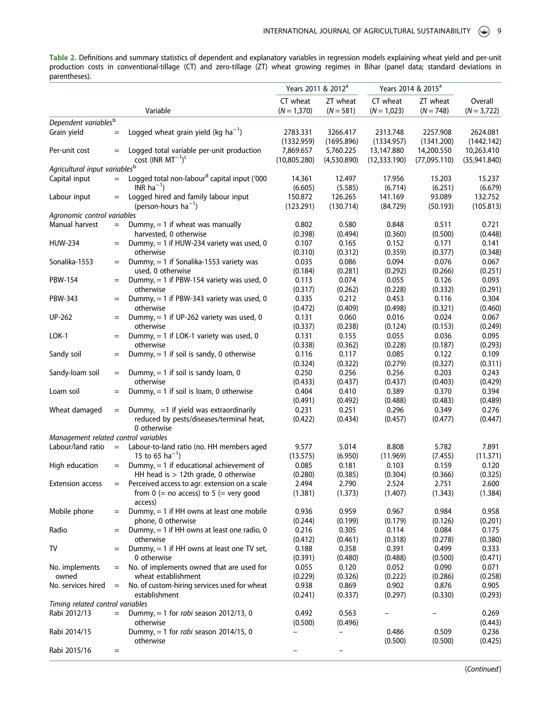<span id="page-9-0"></span>Table 2. Definitions and summary statistics of dependent and explanatory variables in regression models explaining wheat yield and per-unit production costs in conventional-tillage (CT) and zero-tillage (ZT) wheat growing regimes in Bihar (panel data; standard deviations in parentheses).

|                                           |           |                                                                | Years 2011 & 2012 <sup>a</sup> |                  | Years 2014 & 2015 <sup>a</sup> |                  |                  |
|-------------------------------------------|-----------|----------------------------------------------------------------|--------------------------------|------------------|--------------------------------|------------------|------------------|
|                                           |           |                                                                | CT wheat                       | ZT wheat         | CT wheat                       | ZT wheat         | Overall          |
|                                           |           | Variable                                                       | $(N = 1,370)$                  | $(N = 581)$      | $(N = 1,023)$                  | $(N = 748)$      | $(N = 3,722)$    |
| Dependent variables <sup>b</sup>          |           |                                                                |                                |                  |                                |                  |                  |
| Grain yield                               | $=$       | Logged wheat grain yield (kg $ha^{-1}$ )                       | 2783.331                       | 3266.417         | 2313.748                       | 2257.908         | 2624.081         |
|                                           |           |                                                                | (1332.959)                     | (1695.896)       | (1334.957)                     | (1341.200)       | (1442.142)       |
| Per-unit cost                             | $=$       | Logged total variable per-unit production                      | 7,869.657                      | 5,760.225        | 13,147.880                     | 14,200.550       | 10,263.410       |
|                                           |           | cost (INR $MT^{-1}$ ) <sup>c</sup>                             | (10,805.280)                   | (4,530.890)      | (12, 333.190)                  | (77,095.110)     | (35,941.840)     |
| Agricultural input variables <sup>b</sup> |           |                                                                |                                |                  |                                |                  |                  |
| Capital input                             | $=$       | Logged total non-labour <sup>d</sup> capital input ('000       | 14.361                         | 12.497           | 17.956                         | 15.203           | 15.237           |
|                                           |           | INR $ha^{-1}$ )                                                | (6.605)                        | (5.585)          | (6.714)                        | (6.251)          | (6.679)          |
| Labour input                              | $=$       | Logged hired and family labour input                           | 150.872                        | 126.265          | 141.169                        | 93.089           | 132.752          |
|                                           |           | (person-hours $ha^{-1}$ )                                      | (123.291)                      | (130.714)        | (84.729)                       | (50.193)         | (105.813)        |
| Agronomic control variables               |           |                                                                |                                |                  |                                |                  |                  |
| Manual harvest                            | $=$       | Dummy, $=$ 1 if wheat was manually                             | 0.802                          | 0.580            | 0.848                          | 0.511            | 0.721            |
|                                           |           | harvested, 0 otherwise                                         | (0.398)                        | (0.494)          | (0.360)                        | (0.500)          | (0.448)          |
| <b>HUW-234</b>                            | $=$       | Dummy, $= 1$ if HUW-234 variety was used, 0                    | 0.107                          | 0.165            | 0.152                          | 0.171            | 0.141            |
|                                           |           | otherwise                                                      | (0.310)                        | (0.312)          | (0.359)                        | (0.377)          | (0.348)          |
| Sonalika-1553                             | $=$       | Dummy, $= 1$ if Sonalika-1553 variety was<br>used, 0 otherwise | 0.035                          | 0.086            | 0.094                          | 0.076            | 0.067            |
| PBW-154                                   | $=$       | Dummy, $= 1$ if PBW-154 variety was used, 0                    | (0.184)                        | (0.281)<br>0.074 | (0.292)<br>0.055               | (0.266)<br>0.126 | (0.251)          |
|                                           |           | otherwise                                                      | 0.113<br>(0.317)               | (0.262)          | (0.228)                        | (0.332)          | 0.093<br>(0.291) |
| PBW-343                                   | $=$       | Dummy, = 1 if PBW-343 variety was used, 0                      | 0.335                          | 0.212            | 0.453                          | 0.116            | 0.304            |
|                                           |           | otherwise                                                      | (0.472)                        | (0.409)          | (0.498)                        | (0.321)          | (0.460)          |
| UP-262                                    | $=$       | Dummy, $= 1$ if UP-262 variety was used, 0                     | 0.131                          | 0.060            | 0.016                          | 0.024            | 0.067            |
|                                           |           | otherwise                                                      | (0.337)                        | (0.238)          | (0.124)                        | (0.153)          | (0.249)          |
| LOK-1                                     | $=$       | Dummy, = 1 if LOK-1 variety was used, 0                        | 0.131                          | 0.155            | 0.055                          | 0.036            | 0.095            |
|                                           |           | otherwise                                                      | (0.338)                        | (0.362)          | (0.228)                        | (0.187)          | (0.293)          |
| Sandy soil                                | $=$       | Dummy, $= 1$ if soil is sandy, 0 otherwise                     | 0.116                          | 0.117            | 0.085                          | 0.122            | 0.109            |
|                                           |           |                                                                | (0.324)                        | (0.322)          | (0.279)                        | (0.327)          | (0.311)          |
| Sandy-loam soil                           | $=$       | Dummy, $= 1$ if soil is sandy loam, 0                          | 0.250                          | 0.256            | 0.256                          | 0.203            | 0.243            |
|                                           |           | otherwise                                                      | (0.433)                        | (0.437)          | (0.437)                        | (0.403)          | (0.429)          |
| Loam soil                                 | $=$       | Dummy, $= 1$ if soil is loam, 0 otherwise                      | 0.404                          | 0.410            | 0.389                          | 0.370            | 0.394            |
|                                           |           |                                                                | (0.491)                        | (0.492)          | (0.488)                        | (0.483)          | (0.489)          |
| Wheat damaged                             | $=$       | Dummy, $=1$ if yield was extraordinarily                       | 0.231                          | 0.251            | 0.296                          | 0.349            | 0.276            |
|                                           |           | reduced by pests/diseases/terminal heat,                       | (0.422)                        | (0.434)          | (0.457)                        | (0.477)          | (0.447)          |
|                                           |           | 0 otherwise                                                    |                                |                  |                                |                  |                  |
| Management related control variables      |           |                                                                |                                |                  |                                |                  |                  |
| Labour/land ratio                         | $=$       | Labour-to-land ratio (no. HH members aged                      | 9.577                          | 5.014            | 8.808                          | 5.782            | 7.891            |
|                                           |           | 15 to 65 ha <sup>-1</sup> )                                    | (13.575)                       | (6.950)          | (11.969)                       | (7.455)          | (11.371)         |
| High education                            | $=$       | Dummy, $=$ 1 if educational achievement of                     | 0.085                          | 0.181            | 0.103                          | 0.159            | 0.120            |
|                                           |           | HH head is $> 12$ th grade, 0 otherwise                        | (0.280)                        | (0.385)          | (0.304)                        | (0.366)          | (0.325)          |
| <b>Extension access</b>                   | $=$       | Perceived access to agr. extension on a scale                  | 2.494                          | 2.790            | 2.524                          | 2.751            | 2.600            |
|                                           |           | from $0 (=$ no access) to $5 (=$ very good                     | (1.381)                        | (1.373)          | (1.407)                        | (1.343)          | (1.384)          |
|                                           |           | access)                                                        |                                |                  |                                |                  |                  |
| Mobile phone                              | $=$       | Dummy, $= 1$ if HH owns at least one mobile                    | 0.936                          | 0.959            | 0.967                          | 0.984            | 0.958            |
| Radio                                     |           | phone, 0 otherwise                                             | (0.244)<br>0.216               | (0.199)<br>0.305 | (0.179)<br>0.114               | (0.126)<br>0.084 | (0.201)<br>0.175 |
|                                           | $=$       | Dummy, $= 1$ if HH owns at least one radio, 0<br>otherwise     | (0.412)                        | (0.461)          | (0.318)                        | (0.278)          | (0.380)          |
| TV                                        |           | Dummy, $= 1$ if HH owns at least one TV set,                   | 0.188                          | 0.358            | 0.391                          | 0.499            | 0.333            |
|                                           |           | 0 otherwise                                                    | (0.391)                        | (0.480)          | (0.488)                        | (0.500)          | (0.471)          |
| No. implements                            | $=$       | No. of implements owned that are used for                      | 0.055                          | 0.120            | 0.052                          | 0.090            | 0.071            |
| owned                                     |           | wheat establishment                                            | (0.229)                        | (0.326)          | (0.222)                        | (0.286)          | (0.258)          |
| No. services hired                        | $=$       | No. of custom-hiring services used for wheat                   | 0.938                          | 0.869            | 0.902                          | 0.876            | 0.905            |
|                                           |           | establishment                                                  | (0.241)                        | (0.337)          | (0.297)                        | (0.330)          | (0.293)          |
| Timing related control variables          |           |                                                                |                                |                  |                                |                  |                  |
| Rabi 2012/13                              | $=$       | Dummy, $= 1$ for <i>rabi</i> season 2012/13, 0                 | 0.492                          | 0.563            |                                |                  | 0.269            |
|                                           |           | otherwise                                                      | (0.500)                        | (0.496)          |                                |                  | (0.443)          |
| Rabi 2014/15                              |           | Dummy, = 1 for <i>rabi</i> season 2014/15, 0                   | -                              | -                | 0.486                          | 0.509            | 0.236            |
|                                           |           | otherwise                                                      |                                |                  | (0.500)                        | (0.500)          | (0.425)          |
| Rabi 2015/16                              | $\quad =$ |                                                                |                                |                  |                                |                  |                  |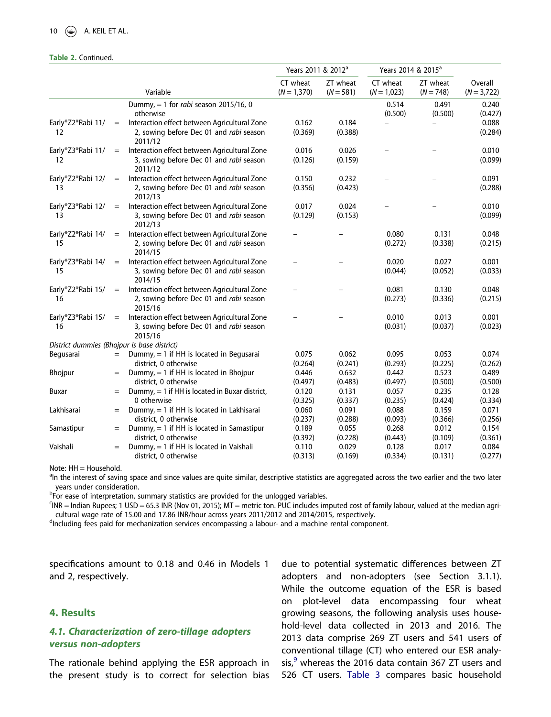#### 10  $\left(\frac{1}{2}\right)$  A. KEIL ET AL.

#### Table 2. Continued.

|                                             |     |                                                                                                    | Years 2011 & 2012 <sup>a</sup> |                         | Years 2014 & 2015 <sup>a</sup> |                         |                          |
|---------------------------------------------|-----|----------------------------------------------------------------------------------------------------|--------------------------------|-------------------------|--------------------------------|-------------------------|--------------------------|
|                                             |     | Variable                                                                                           | CT wheat<br>$(N = 1,370)$      | ZT wheat<br>$(N = 581)$ | CT wheat<br>$(N = 1,023)$      | ZT wheat<br>$(N = 748)$ | Overall<br>$(N = 3,722)$ |
|                                             |     | Dummy, = 1 for <i>rabi</i> season 2015/16, 0<br>otherwise                                          |                                |                         | 0.514<br>(0.500)               | 0.491<br>(0.500)        | 0.240<br>(0.427)         |
| Early*Z2*Rabi 11/<br>12                     | $=$ | Interaction effect between Agricultural Zone<br>2, sowing before Dec 01 and rabi season<br>2011/12 | 0.162<br>(0.369)               | 0.184<br>(0.388)        |                                |                         | 0.088<br>(0.284)         |
| Early*Z3*Rabi 11/<br>12                     | $=$ | Interaction effect between Agricultural Zone<br>3, sowing before Dec 01 and rabi season<br>2011/12 | 0.016<br>(0.126)               | 0.026<br>(0.159)        |                                |                         | 0.010<br>(0.099)         |
| Early*Z2*Rabi 12/<br>13                     | $=$ | Interaction effect between Agricultural Zone<br>2, sowing before Dec 01 and rabi season<br>2012/13 | 0.150<br>(0.356)               | 0.232<br>(0.423)        |                                |                         | 0.091<br>(0.288)         |
| Early*Z3*Rabi 12/<br>13                     | $=$ | Interaction effect between Agricultural Zone<br>3, sowing before Dec 01 and rabi season<br>2012/13 | 0.017<br>(0.129)               | 0.024<br>(0.153)        |                                |                         | 0.010<br>(0.099)         |
| Early*Z2*Rabi 14/<br>15                     | $=$ | Interaction effect between Agricultural Zone<br>2, sowing before Dec 01 and rabi season<br>2014/15 |                                |                         | 0.080<br>(0.272)               | 0.131<br>(0.338)        | 0.048<br>(0.215)         |
| Early*Z3*Rabi 14/<br>15                     | $=$ | Interaction effect between Agricultural Zone<br>3, sowing before Dec 01 and rabi season<br>2014/15 |                                |                         | 0.020<br>(0.044)               | 0.027<br>(0.052)        | 0.001<br>(0.033)         |
| Early*Z2*Rabi 15/<br>16                     | $=$ | Interaction effect between Agricultural Zone<br>2, sowing before Dec 01 and rabi season<br>2015/16 |                                |                         | 0.081<br>(0.273)               | 0.130<br>(0.336)        | 0.048<br>(0.215)         |
| Early*Z3*Rabi 15/<br>16                     | $=$ | Interaction effect between Agricultural Zone<br>3, sowing before Dec 01 and rabi season<br>2015/16 |                                |                         | 0.010<br>(0.031)               | 0.013<br>(0.037)        | 0.001<br>(0.023)         |
| District dummies (Bhojpur is base district) |     |                                                                                                    |                                |                         |                                |                         |                          |
| Begusarai                                   | $=$ | Dummy, $= 1$ if HH is located in Begusarai<br>district, 0 otherwise                                | 0.075<br>(0.264)               | 0.062<br>(0.241)        | 0.095<br>(0.293)               | 0.053<br>(0.225)        | 0.074<br>(0.262)         |
| Bhojpur                                     | $=$ | Dummy, $= 1$ if HH is located in Bhojpur<br>district, 0 otherwise                                  | 0.446<br>(0.497)               | 0.632<br>(0.483)        | 0.442<br>(0.497)               | 0.523<br>(0.500)        | 0.489<br>(0.500)         |
| Buxar                                       | $=$ | Dummy, = 1 if HH is located in Buxar district,<br>0 otherwise                                      | 0.120<br>(0.325)               | 0.131<br>(0.337)        | 0.057<br>(0.235)               | 0.235<br>(0.424)        | 0.128<br>(0.334)         |
| Lakhisarai                                  | $=$ | Dummy, $= 1$ if HH is located in Lakhisarai<br>district, 0 otherwise                               | 0.060<br>(0.237)               | 0.091<br>(0.288)        | 0.088<br>(0.093)               | 0.159<br>(0.366)        | 0.071<br>(0.256)         |
| Samastipur                                  | $=$ | Dummy, $= 1$ if HH is located in Samastipur<br>district, 0 otherwise                               | 0.189<br>(0.392)               | 0.055<br>(0.228)        | 0.268<br>(0.443)               | 0.012<br>(0.109)        | 0.154<br>(0.361)         |
| Vaishali                                    |     | Dummy, = 1 if HH is located in Vaishali<br>district, 0 otherwise                                   | 0.110<br>(0.313)               | 0.029<br>(0.169)        | 0.128<br>(0.334)               | 0.017<br>(0.131)        | 0.084<br>(0.277)         |

Note: HH = Household.

<sup>a</sup>In the interest of saving space and since values are quite similar, descriptive statistics are aggregated across the two earlier and the two later years under consideration.

<sup>b</sup>For ease of interpretation, summary statistics are provided for the unlogged variables.

c INR = Indian Rupees; 1 USD = 65.3 INR (Nov 01, 2015); MT = metric ton. PUC includes imputed cost of family labour, valued at the median agricultural wage rate of 15.00 and 17.86 INR/hour across years 2011/2012 and 2014/2015, respectively.

<sup>d</sup>Including fees paid for mechanization services encompassing a labour- and a machine rental component.

specifications amount to 0.18 and 0.46 in Models 1 and 2, respectively.

## 4. Results

## 4.1. Characterization of zero-tillage adopters versus non-adopters

The rationale behind applying the ESR approach in the present study is to correct for selection bias

due to potential systematic differences between ZT adopters and non-adopters (see Section 3.1.1). While the outcome equation of the ESR is based on plot-level data encompassing four wheat growing seasons, the following analysis uses household-level data collected in 2013 and 2016. The 2013 data comprise 269 ZT users and 541 users of conventional tillage (CT) who entered our ESR analysis, $9$  whereas the 2016 data contain 367 ZT users and 526 CT users. [Table 3](#page-13-0) compares basic household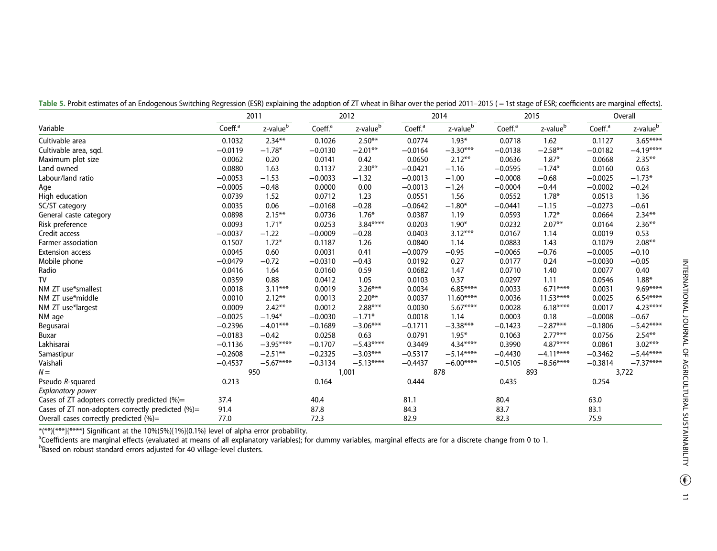|                                                    | 2011                |                      |                     | 2012                 |                     | 2014                 |                     | 2015                 |                     | Overall              |  |
|----------------------------------------------------|---------------------|----------------------|---------------------|----------------------|---------------------|----------------------|---------------------|----------------------|---------------------|----------------------|--|
| Variable                                           | Coeff. <sup>a</sup> | z-value <sup>b</sup> | Coeff. <sup>a</sup> | z-value <sup>b</sup> | Coeff. <sup>a</sup> | z-value <sup>b</sup> | Coeff. <sup>a</sup> | z-value <sup>b</sup> | Coeff. <sup>a</sup> | z-value <sup>b</sup> |  |
| Cultivable area                                    | 0.1032              | $2.34***$            | 0.1026              | $2.50***$            | 0.0774              | $1.93*$              | 0.0718              | 1.62                 | 0.1127              | 3.65****             |  |
| Cultivable area, sqd.                              | $-0.0119$           | $-1.78*$             | $-0.0130$           | $-2.01**$            | $-0.0164$           | $-3.30***$           | $-0.0138$           | $-2.58**$            | $-0.0182$           | $-4.19***$           |  |
| Maximum plot size                                  | 0.0062              | 0.20                 | 0.0141              | 0.42                 | 0.0650              | $2.12***$            | 0.0636              | $1.87*$              | 0.0668              | $2.35***$            |  |
| Land owned                                         | 0.0880              | 1.63                 | 0.1137              | $2.30***$            | $-0.0421$           | $-1.16$              | $-0.0595$           | $-1.74*$             | 0.0160              | 0.63                 |  |
| Labour/land ratio                                  | $-0.0053$           | $-1.53$              | $-0.0033$           | $-1.32$              | $-0.0013$           | $-1.00$              | $-0.0008$           | $-0.68$              | $-0.0025$           | $-1.73*$             |  |
| Age                                                | $-0.0005$           | $-0.48$              | 0.0000              | 0.00                 | $-0.0013$           | $-1.24$              | $-0.0004$           | $-0.44$              | $-0.0002$           | $-0.24$              |  |
| High education                                     | 0.0739              | 1.52                 | 0.0712              | 1.23                 | 0.0551              | 1.56                 | 0.0552              | $1.78*$              | 0.0513              | 1.36                 |  |
| SC/ST category                                     | 0.0035              | 0.06                 | $-0.0168$           | $-0.28$              | $-0.0642$           | $-1.80*$             | $-0.0441$           | $-1.15$              | $-0.0273$           | $-0.61$              |  |
| General caste category                             | 0.0898              | $2.15***$            | 0.0736              | $1.76*$              | 0.0387              | 1.19                 | 0.0593              | $1.72*$              | 0.0664              | $2.34**$             |  |
| Risk preference                                    | 0.0093              | $1.71*$              | 0.0253              | $3.84***$            | 0.0203              | $1.90*$              | 0.0232              | $2.07**$             | 0.0164              | $2.36***$            |  |
| Credit access                                      | $-0.0037$           | $-1.22$              | $-0.0009$           | $-0.28$              | 0.0403              | $3.12***$            | 0.0167              | 1.14                 | 0.0019              | 0.53                 |  |
| <b>Farmer</b> association                          | 0.1507              | $1.72*$              | 0.1187              | 1.26                 | 0.0840              | 1.14                 | 0.0883              | 1.43                 | 0.1079              | $2.08***$            |  |
| <b>Extension access</b>                            | 0.0045              | 0.60                 | 0.0031              | 0.41                 | $-0.0079$           | $-0.95$              | $-0.0065$           | $-0.76$              | $-0.0005$           | $-0.10$              |  |
| Mobile phone                                       | $-0.0479$           | $-0.72$              | $-0.0310$           | $-0.43$              | 0.0192              | 0.27                 | 0.0177              | 0.24                 | $-0.0030$           | $-0.05$              |  |
| Radio                                              | 0.0416              | 1.64                 | 0.0160              | 0.59                 | 0.0682              | 1.47                 | 0.0710              | 1.40                 | 0.0077              | 0.40                 |  |
| TV                                                 | 0.0359              | 0.88                 | 0.0412              | 1.05                 | 0.0103              | 0.37                 | 0.0297              | 1.11                 | 0.0546              | $1.88*$              |  |
| NM ZT use*smallest                                 | 0.0018              | $3.11***$            | 0.0019              | $3.26***$            | 0.0034              | $6.85***$            | 0.0033              | $6.71***$            | 0.0031              | $9.69***$            |  |
| NM ZT use*middle                                   | 0.0010              | $2.12***$            | 0.0013              | $2.20***$            | 0.0037              | $11.60***$           | 0.0036              | $11.53***$           | 0.0025              | $6.54***$            |  |
| NM ZT use*largest                                  | 0.0009              | $2.42***$            | 0.0012              | $2.88***$            | 0.0030              | $5.67***$            | 0.0028              | $6.18***$            | 0.0017              | $4.23***$            |  |
| NM age                                             | $-0.0025$           | $-1.94*$             | $-0.0030$           | $-1.71*$             | 0.0018              | 1.14                 | 0.0003              | 0.18                 | $-0.0008$           | $-0.67$              |  |
| Begusarai                                          | $-0.2396$           | $-4.01***$           | $-0.1689$           | $-3.06***$           | $-0.1711$           | $-3.38***$           | $-0.1423$           | $-2.87***$           | $-0.1806$           | $-5.42***$           |  |
| Buxar                                              | $-0.0183$           | $-0.42$              | 0.0258              | 0.63                 | 0.0791              | $1.95*$              | 0.1063              | $2.77***$            | 0.0756              | $2.54***$            |  |
| Lakhisarai                                         | $-0.1136$           | $-3.95***$           | $-0.1707$           | $-5.43***$           | 0.3449              | $4.34***$            | 0.3990              | $4.87***$            | 0.0861              | $3.02***$            |  |
| Samastipur                                         | $-0.2608$           | $-2.51***$           | $-0.2325$           | $-3.03***$           | $-0.5317$           | $-5.14***$           | $-0.4430$           | $-4.11***$           | $-0.3462$           | $-5.44***$           |  |
| Vaishali                                           | $-0.4537$           | $-5.67***$           | $-0.3134$           | $-5.13***$           | $-0.4437$           | $-6.00***$           | $-0.5105$           | $-8.56***$           | $-0.3814$           | $-7.37***$           |  |
| $N =$                                              |                     | 950                  |                     | 1,001                |                     | 878                  |                     | 893                  |                     | 3,722                |  |
| Pseudo R-squared                                   | 0.213               |                      | 0.164               |                      | 0.444               |                      | 0.435               |                      | 0.254               |                      |  |
| Explanatory power                                  |                     |                      |                     |                      |                     |                      |                     |                      |                     |                      |  |
| Cases of ZT adopters correctly predicted $(\%) =$  | 37.4                |                      | 40.4                |                      | 81.1                |                      | 80.4                |                      | 63.0                |                      |  |
| Cases of ZT non-adopters correctly predicted $% =$ | 91.4                |                      | 87.8                |                      | 84.3                |                      | 83.7                |                      | 83.1                |                      |  |
| Overall cases correctly predicted (%)=             | 77.0                |                      | 72.3                |                      | 82.9                |                      | 82.3                |                      | 75.9                |                      |  |

<span id="page-11-0"></span>Table 5. Probit estimates of an Endogenous Switching Regression (ESR) explaining the adoption of ZT wheat in Bihar over the period 2011-2015 (= 1st stage of ESR; coefficients are marginal effects).

\*(\*\*)[\*\*\*\*]{\*\*\*\*} Significant at the 10%(5%)[1%]{0.1%} level of alpha error probability.<br><sup>a</sup>Coefficients are marginal effects (evaluated at means of all explanatory variables); for dummy variables, marginal effects are for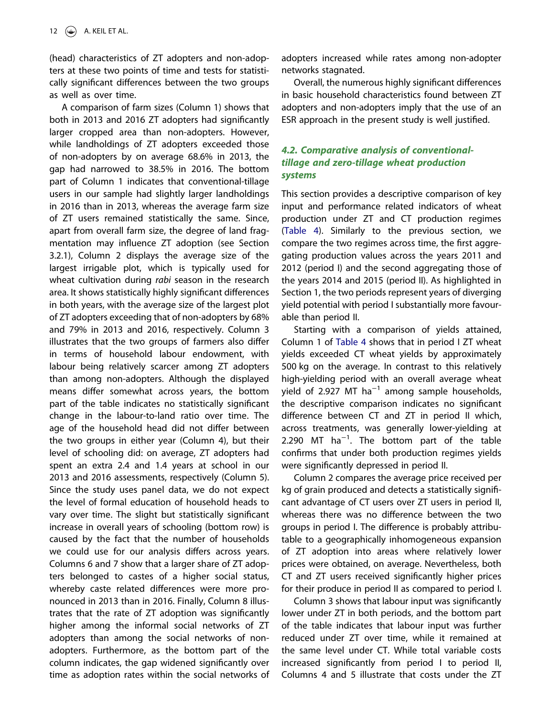(head) characteristics of ZT adopters and non-adopters at these two points of time and tests for statistically significant differences between the two groups as well as over time.

A comparison of farm sizes (Column 1) shows that both in 2013 and 2016 ZT adopters had significantly larger cropped area than non-adopters. However, while landholdings of ZT adopters exceeded those of non-adopters by on average 68.6% in 2013, the gap had narrowed to 38.5% in 2016. The bottom part of Column 1 indicates that conventional-tillage users in our sample had slightly larger landholdings in 2016 than in 2013, whereas the average farm size of ZT users remained statistically the same. Since, apart from overall farm size, the degree of land fragmentation may influence ZT adoption (see Section 3.2.1), Column 2 displays the average size of the largest irrigable plot, which is typically used for wheat cultivation during *rabi* season in the research area. It shows statistically highly significant differences in both years, with the average size of the largest plot of ZT adopters exceeding that of non-adopters by 68% and 79% in 2013 and 2016, respectively. Column 3 illustrates that the two groups of farmers also differ in terms of household labour endowment, with labour being relatively scarcer among ZT adopters than among non-adopters. Although the displayed means differ somewhat across years, the bottom part of the table indicates no statistically significant change in the labour-to-land ratio over time. The age of the household head did not differ between the two groups in either year (Column 4), but their level of schooling did: on average, ZT adopters had spent an extra 2.4 and 1.4 years at school in our 2013 and 2016 assessments, respectively (Column 5). Since the study uses panel data, we do not expect the level of formal education of household heads to vary over time. The slight but statistically significant increase in overall years of schooling (bottom row) is caused by the fact that the number of households we could use for our analysis differs across years. Columns 6 and 7 show that a larger share of ZT adopters belonged to castes of a higher social status, whereby caste related differences were more pronounced in 2013 than in 2016. Finally, Column 8 illustrates that the rate of ZT adoption was significantly higher among the informal social networks of ZT adopters than among the social networks of nonadopters. Furthermore, as the bottom part of the column indicates, the gap widened significantly over time as adoption rates within the social networks of adopters increased while rates among non-adopter networks stagnated.

Overall, the numerous highly significant differences in basic household characteristics found between ZT adopters and non-adopters imply that the use of an ESR approach in the present study is well justified.

## 4.2. Comparative analysis of conventionaltillage and zero-tillage wheat production systems

This section provides a descriptive comparison of key input and performance related indicators of wheat production under ZT and CT production regimes ([Table 4](#page-14-0)). Similarly to the previous section, we compare the two regimes across time, the first aggregating production values across the years 2011 and 2012 (period I) and the second aggregating those of the years 2014 and 2015 (period II). As highlighted in Section 1, the two periods represent years of diverging yield potential with period I substantially more favourable than period II.

Starting with a comparison of yields attained, Column 1 of [Table 4](#page-14-0) shows that in period I ZT wheat yields exceeded CT wheat yields by approximately 500 kg on the average. In contrast to this relatively high-yielding period with an overall average wheat yield of 2.927 MT ha−<sup>1</sup> among sample households, the descriptive comparison indicates no significant difference between CT and ZT in period II which, across treatments, was generally lower-yielding at 2.290 MT ha−<sup>1</sup> . The bottom part of the table confirms that under both production regimes yields were significantly depressed in period II.

Column 2 compares the average price received per kg of grain produced and detects a statistically significant advantage of CT users over ZT users in period II, whereas there was no difference between the two groups in period I. The difference is probably attributable to a geographically inhomogeneous expansion of ZT adoption into areas where relatively lower prices were obtained, on average. Nevertheless, both CT and ZT users received significantly higher prices for their produce in period II as compared to period I.

Column 3 shows that labour input was significantly lower under ZT in both periods, and the bottom part of the table indicates that labour input was further reduced under ZT over time, while it remained at the same level under CT. While total variable costs increased significantly from period I to period II, Columns 4 and 5 illustrate that costs under the ZT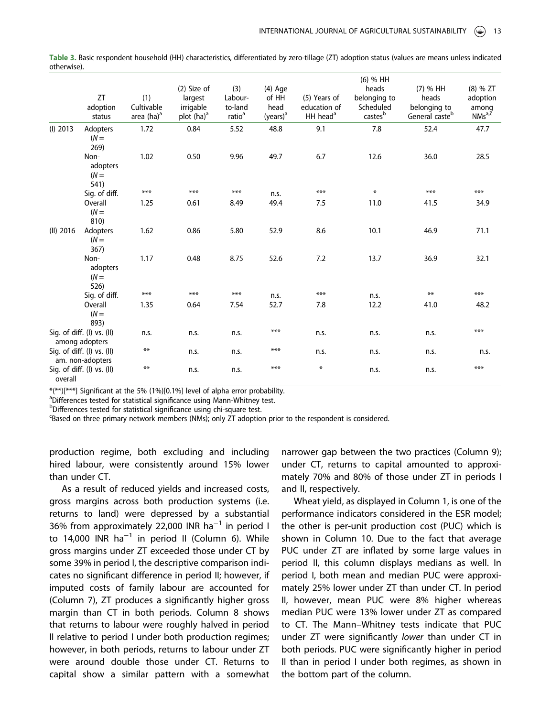|             |                                                |                   |                                     |                           |                            |                              | (6) % HH                           |                                   |                                 |
|-------------|------------------------------------------------|-------------------|-------------------------------------|---------------------------|----------------------------|------------------------------|------------------------------------|-----------------------------------|---------------------------------|
|             | ZT<br>adoption                                 | (1)<br>Cultivable | (2) Size of<br>largest<br>irrigable | (3)<br>Labour-<br>to-land | $(4)$ Age<br>of HH<br>head | (5) Years of<br>education of | heads<br>belonging to<br>Scheduled | (7) % HH<br>heads<br>belonging to | $(8)$ % ZT<br>adoption<br>among |
|             | status                                         | area $(ha)^a$     | plot $(ha)^a$                       | ratio <sup>a</sup>        | (years) <sup>a</sup>       | HH head <sup>a</sup>         | castesb                            | General casteb                    | NMs <sup>a,c</sup>              |
| $(I)$ 2013  | Adopters<br>$(N =$<br>269)                     | 1.72              | 0.84                                | 5.52                      | 48.8                       | 9.1                          | 7.8                                | 52.4                              | 47.7                            |
|             | Non-<br>adopters<br>$(N =$<br>541)             | 1.02              | 0.50                                | 9.96                      | 49.7                       | 6.7                          | 12.6                               | 36.0                              | 28.5                            |
|             | Sig. of diff.                                  | ***               | ***                                 | ***                       | n.s.                       | ***                          | $\ast$                             | ***                               | ***                             |
|             | Overall<br>$(N =$<br>810)                      | 1.25              | 0.61                                | 8.49                      | 49.4                       | 7.5                          | 11.0                               | 41.5                              | 34.9                            |
| $(II)$ 2016 | Adopters<br>$(N =$<br>367)                     | 1.62              | 0.86                                | 5.80                      | 52.9                       | 8.6                          | 10.1                               | 46.9                              | 71.1                            |
|             | Non-<br>adopters<br>$(N =$<br>526)             | 1.17              | 0.48                                | 8.75                      | 52.6                       | 7.2                          | 13.7                               | 36.9                              | 32.1                            |
|             | Sig. of diff.                                  | ***               | ***                                 | ***                       | n.s.                       | ***                          | n.s.                               | **                                | ***                             |
|             | Overall<br>$(N =$<br>893)                      | 1.35              | 0.64                                | 7.54                      | 52.7                       | 7.8                          | 12.2                               | 41.0                              | 48.2                            |
|             | Sig. of diff. (I) vs. (II)<br>among adopters   | n.s.              | n.s.                                | n.s.                      | ***                        | n.s.                         | n.s.                               | n.s.                              | ***                             |
|             | Sig. of diff. (I) vs. (II)<br>am. non-adopters | **                | n.s.                                | n.s.                      | ***                        | n.s.                         | n.s.                               | n.s.                              | n.s.                            |
| overall     | Sig. of diff. (I) vs. (II)                     | **                | n.s.                                | n.s.                      | ***                        | $\ast$                       | n.s.                               | n.s.                              | ***                             |

<span id="page-13-0"></span>Table 3. Basic respondent household (HH) characteristics, differentiated by zero-tillage (ZT) adoption status (values are means unless indicated otherwise).

\*(\*\*)[\*\*\*] Significant at the 5% (1%)[0.1%] level of alpha error probability.

<sup>a</sup>Differences tested for statistical significance using Mann-Whitney test.

bDifferences tested for statistical significance using chi-square test.

c Based on three primary network members (NMs); only ZT adoption prior to the respondent is considered.

production regime, both excluding and including hired labour, were consistently around 15% lower than under CT.

As a result of reduced yields and increased costs, gross margins across both production systems (i.e. returns to land) were depressed by a substantial 36% from approximately 22,000 INR ha−<sup>1</sup> in period I to 14,000 INR ha<sup>-1</sup> in period II (Column 6). While gross margins under ZT exceeded those under CT by some 39% in period I, the descriptive comparison indicates no significant difference in period II; however, if imputed costs of family labour are accounted for (Column 7), ZT produces a significantly higher gross margin than CT in both periods. Column 8 shows that returns to labour were roughly halved in period II relative to period I under both production regimes; however, in both periods, returns to labour under ZT were around double those under CT. Returns to capital show a similar pattern with a somewhat narrower gap between the two practices (Column 9); under CT, returns to capital amounted to approximately 70% and 80% of those under ZT in periods I and II, respectively.

Wheat yield, as displayed in Column 1, is one of the performance indicators considered in the ESR model; the other is per-unit production cost (PUC) which is shown in Column 10. Due to the fact that average PUC under ZT are inflated by some large values in period II, this column displays medians as well. In period I, both mean and median PUC were approximately 25% lower under ZT than under CT. In period II, however, mean PUC were 8% higher whereas median PUC were 13% lower under ZT as compared to CT. The Mann–Whitney tests indicate that PUC under ZT were significantly *lower* than under CT in both periods. PUC were significantly higher in period II than in period I under both regimes, as shown in the bottom part of the column.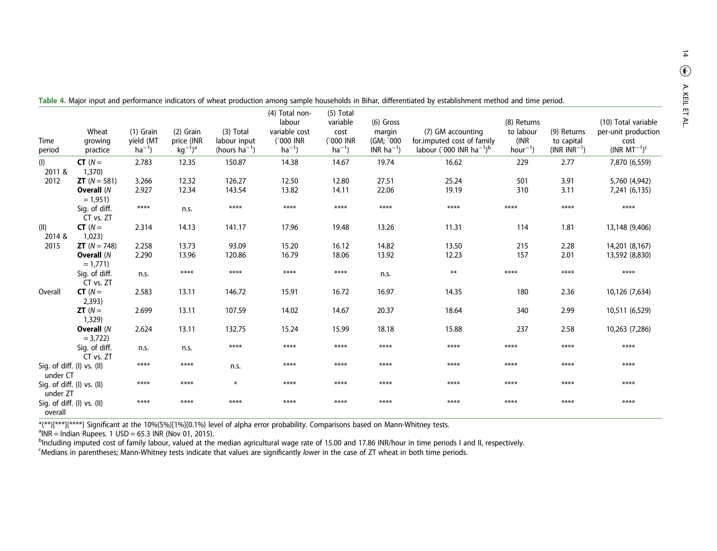| Time<br>period                         | Wheat<br>growing<br>practice                            | (1) Grain<br>yield (MT<br>$ha^{-1}$ ) | $(2)$ Grain<br>price (INR<br>$kg^{-1}$ <sup>a</sup> | (3) Total<br>labour input<br>(hours $ha^{-1}$ ) | (4) Total non-<br>labour<br>variable cost<br>(`000 INR<br>$ha^{-1}$ ) | (5) Total<br>variable<br>cost<br>(`000 INR<br>$ha^{-1}$ ) | $(6)$ Gross<br>margin<br>(GM: `000<br>$INR$ ha <sup>-1</sup> ) | (7) GM accounting<br>for.imputed cost of family<br>labour (`000 INR ha <sup>-1</sup> ) <sup>b</sup> | (8) Returns<br>to labour<br>(INR)<br>$hour-1$ | (9) Returns<br>to capital<br>$(INR INR^{-1})$ | (10) Total variable<br>per-unit production<br>cost<br>$(INR MT-1)c$ |
|----------------------------------------|---------------------------------------------------------|---------------------------------------|-----------------------------------------------------|-------------------------------------------------|-----------------------------------------------------------------------|-----------------------------------------------------------|----------------------------------------------------------------|-----------------------------------------------------------------------------------------------------|-----------------------------------------------|-----------------------------------------------|---------------------------------------------------------------------|
| (1)<br>2011 &                          | $CT(N=$<br>1,370                                        | 2.783                                 | 12.35                                               | 150.87                                          | 14.38                                                                 | 14.67                                                     | 19.74                                                          | 16.62                                                                                               | 229                                           | 2.77                                          | 7,870 (6,559)                                                       |
| 2012                                   | <b>ZT</b> $(N = 581)$<br>Overall (N<br>$= 1,951$        | 3.266<br>2.927                        | 12.32<br>12.34                                      | 126.27<br>143.54                                | 12.50<br>13.82                                                        | 12.80<br>14.11                                            | 27.51<br>22.06                                                 | 25.24<br>19.19                                                                                      | 501<br>310                                    | 3.91<br>3.11                                  | 5,760 (4,942)<br>7,241 (6,135)                                      |
|                                        | Sig. of diff.<br>CT vs. ZT                              | $****$                                | n.s.                                                | $****$                                          | ****                                                                  | ****                                                      | ****                                                           | $****$                                                                                              | ****                                          | $****$                                        | ****                                                                |
| (11)<br>2014 &                         | $CT(N=$<br>1,023)                                       | 2.314                                 | 14.13                                               | 141.17                                          | 17.96                                                                 | 19.48                                                     | 13.26                                                          | 11.31                                                                                               | 114                                           | 1.81                                          | 13,148 (9,406)                                                      |
| 2015                                   | <b>ZT</b> $(N = 748)$<br><b>Overall (N</b><br>$= 1,771$ | 2.258<br>2.290                        | 13.73<br>13.96                                      | 93.09<br>120.86                                 | 15.20<br>16.79                                                        | 16.12<br>18.06                                            | 14.82<br>13.92                                                 | 13.50<br>12.23                                                                                      | 215<br>157                                    | 2.28<br>2.01                                  | 14,201 (8,167)<br>13,592 (8,830)                                    |
|                                        | Sig. of diff.<br>CT vs. ZT                              | n.s.                                  | ****                                                | ****                                            | ****                                                                  | ****                                                      | n.s.                                                           | $***$                                                                                               | ****                                          | ****                                          | ****                                                                |
| Overall                                | $CT(N=$<br>2,393)                                       | 2.583                                 | 13.11                                               | 146.72                                          | 15.91                                                                 | 16.72                                                     | 16.97                                                          | 14.35                                                                                               | 180                                           | 2.36                                          | 10,126 (7,634)                                                      |
|                                        | $ZT(N=$<br>1,329                                        | 2.699                                 | 13.11                                               | 107.59                                          | 14.02                                                                 | 14.67                                                     | 20.37                                                          | 18.64                                                                                               | 340                                           | 2.99                                          | 10,511 (6,529)                                                      |
|                                        | Overall (N<br>$= 3,722$                                 | 2.624                                 | 13.11                                               | 132.75                                          | 15.24                                                                 | 15.99                                                     | 18.18                                                          | 15.88                                                                                               | 237                                           | 2.58                                          | 10,263 (7,286)                                                      |
|                                        | Sig. of diff.<br>CT vs. ZT                              | n.s.                                  | n.s.                                                | ****                                            | ****                                                                  | ****                                                      | ****                                                           | ****                                                                                                | ****                                          | ****                                          | ****                                                                |
| Sig. of diff. (I) vs. (II)<br>under CT |                                                         | ****                                  | ****                                                | n.s.                                            | ****                                                                  | ****                                                      | ****                                                           | ****                                                                                                | ****                                          | ****                                          | ****                                                                |
| Sig. of diff. (I) vs. (II)<br>under ZT |                                                         | ****                                  | ****                                                | $\ast$                                          | ****                                                                  | ****                                                      | ****                                                           | ****                                                                                                | ****                                          | ****                                          | ****                                                                |
| overall                                | Sig. of diff. (I) vs. (II)                              | ****                                  | ****                                                | ****                                            | ****                                                                  | ****                                                      | ****                                                           | ****                                                                                                | ****                                          | ****                                          | ****                                                                |

<span id="page-14-0"></span>

| Table 4. Major input and performance indicators of wheat production among sample households in Bihar, differentiated by establishment method and time period. |
|---------------------------------------------------------------------------------------------------------------------------------------------------------------|
|---------------------------------------------------------------------------------------------------------------------------------------------------------------|

\*(\*\*)[\*\*\*\*]{\*\*\*\*} Significant at the 10%(5%)[1%]{0.1%} level of alpha error probability. Comparisons based on Mann-Whitney tests.<br><sup>a</sup>INR = Indian Rupees. 1 USD = 65.3 INR (Nov 01, 2015).<br><sup>b</sup>Including imputed cost of family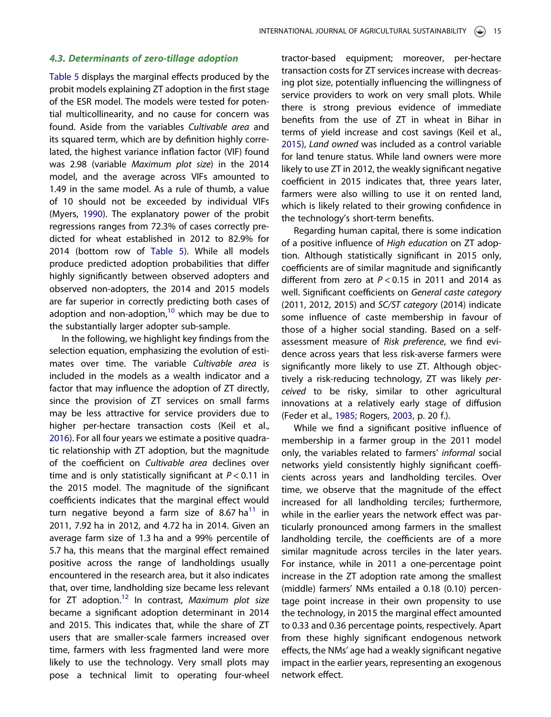#### <span id="page-15-0"></span>4.3. Determinants of zero-tillage adoption

[Table 5](#page-11-0) displays the marginal effects produced by the probit models explaining ZT adoption in the first stage of the ESR model. The models were tested for potential multicollinearity, and no cause for concern was found. Aside from the variables *Cultivable area* and its squared term, which are by definition highly correlated, the highest variance inflation factor (VIF) found was 2.98 (variable *Maximum plot size*) in the 2014 model, and the average across VIFs amounted to 1.49 in the same model. As a rule of thumb, a value of 10 should not be exceeded by individual VIFs (Myers, [1990\)](#page-26-0). The explanatory power of the probit regressions ranges from 72.3% of cases correctly predicted for wheat established in 2012 to 82.9% for 2014 (bottom row of [Table 5](#page-11-0)). While all models produce predicted adoption probabilities that differ highly significantly between observed adopters and observed non-adopters, the 2014 and 2015 models are far superior in correctly predicting both cases of adoption and non-adoption, $10$  which may be due to the substantially larger adopter sub-sample.

In the following, we highlight key findings from the selection equation, emphasizing the evolution of estimates over time. The variable *Cultivable area* is included in the models as a wealth indicator and a factor that may influence the adoption of ZT directly, since the provision of ZT services on small farms may be less attractive for service providers due to higher per-hectare transaction costs (Keil et al., [2016](#page-26-0)). For all four years we estimate a positive quadratic relationship with ZT adoption, but the magnitude of the coefficient on *Cultivable area* declines over time and is only statistically significant at *P* < 0.11 in the 2015 model. The magnitude of the significant coefficients indicates that the marginal effect would turn negative beyond a farm size of 8.67 ha<sup>[11](#page-24-0)</sup> in 2011, 7.92 ha in 2012, and 4.72 ha in 2014. Given an average farm size of 1.3 ha and a 99% percentile of 5.7 ha, this means that the marginal effect remained positive across the range of landholdings usually encountered in the research area, but it also indicates that, over time, landholding size became less relevant for ZT adoption.[12](#page-24-0) In contrast, *Maximum plot size* became a significant adoption determinant in 2014 and 2015. This indicates that, while the share of ZT users that are smaller-scale farmers increased over time, farmers with less fragmented land were more likely to use the technology. Very small plots may pose a technical limit to operating four-wheel

tractor-based equipment; moreover, per-hectare transaction costs for ZT services increase with decreasing plot size, potentially influencing the willingness of service providers to work on very small plots. While there is strong previous evidence of immediate benefits from the use of ZT in wheat in Bihar in terms of yield increase and cost savings (Keil et al., [2015](#page-26-0)), *Land owned* was included as a control variable for land tenure status. While land owners were more likely to use ZT in 2012, the weakly significant negative coefficient in 2015 indicates that, three years later, farmers were also willing to use it on rented land, which is likely related to their growing confidence in the technology's short-term benefits.

Regarding human capital, there is some indication of a positive influence of *High education* on ZT adoption. Although statistically significant in 2015 only, coefficients are of similar magnitude and significantly different from zero at *P* < 0.15 in 2011 and 2014 as well. Significant coefficients on *General caste category* (2011, 2012, 2015) and *SC/ST category* (2014) indicate some influence of caste membership in favour of those of a higher social standing. Based on a selfassessment measure of *Risk preference*, we find evidence across years that less risk-averse farmers were significantly more likely to use ZT. Although objectively a risk-reducing technology, ZT was likely *perceived* to be risky, similar to other agricultural innovations at a relatively early stage of diffusion (Feder et al., [1985](#page-25-0); Rogers, [2003](#page-26-0), p. 20 f.).

While we find a significant positive influence of membership in a farmer group in the 2011 model only, the variables related to farmers' *informal* social networks yield consistently highly significant coefficients across years and landholding terciles. Over time, we observe that the magnitude of the effect increased for all landholding terciles; furthermore, while in the earlier years the network effect was particularly pronounced among farmers in the smallest landholding tercile, the coefficients are of a more similar magnitude across terciles in the later years. For instance, while in 2011 a one-percentage point increase in the ZT adoption rate among the smallest (middle) farmers' NMs entailed a 0.18 (0.10) percentage point increase in their own propensity to use the technology, in 2015 the marginal effect amounted to 0.33 and 0.36 percentage points, respectively. Apart from these highly significant endogenous network effects, the NMs' age had a weakly significant negative impact in the earlier years, representing an exogenous network effect.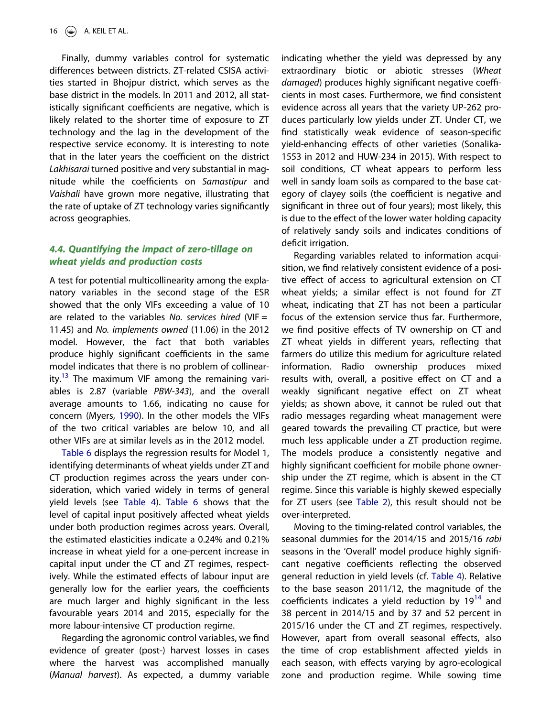Finally, dummy variables control for systematic differences between districts. ZT-related CSISA activities started in Bhojpur district, which serves as the base district in the models. In 2011 and 2012, all statistically significant coefficients are negative, which is likely related to the shorter time of exposure to ZT technology and the lag in the development of the respective service economy. It is interesting to note that in the later years the coefficient on the district *Lakhisarai* turned positive and very substantial in magnitude while the coefficients on *Samastipur* and *Vaishali* have grown more negative, illustrating that the rate of uptake of ZT technology varies significantly across geographies.

## 4.4. Quantifying the impact of zero-tillage on wheat yields and production costs

A test for potential multicollinearity among the explanatory variables in the second stage of the ESR showed that the only VIFs exceeding a value of 10 are related to the variables *No. services hired* (VIF = 11.45) and *No. implements owned* (11.06) in the 2012 model. However, the fact that both variables produce highly significant coefficients in the same model indicates that there is no problem of collinear-ity.<sup>[13](#page-24-0)</sup> The maximum VIF among the remaining variables is 2.87 (variable *PBW-343*), and the overall average amounts to 1.66, indicating no cause for concern (Myers, [1990](#page-26-0)). In the other models the VIFs of the two critical variables are below 10, and all other VIFs are at similar levels as in the 2012 model.

[Table 6](#page-17-0) displays the regression results for Model 1, identifying determinants of wheat yields under ZT and CT production regimes across the years under consideration, which varied widely in terms of general yield levels (see [Table 4\)](#page-14-0). [Table 6](#page-17-0) shows that the level of capital input positively affected wheat yields under both production regimes across years. Overall, the estimated elasticities indicate a 0.24% and 0.21% increase in wheat yield for a one-percent increase in capital input under the CT and ZT regimes, respectively. While the estimated effects of labour input are generally low for the earlier years, the coefficients are much larger and highly significant in the less favourable years 2014 and 2015, especially for the more labour-intensive CT production regime.

Regarding the agronomic control variables, we find evidence of greater (post-) harvest losses in cases where the harvest was accomplished manually (*Manual harvest*). As expected, a dummy variable indicating whether the yield was depressed by any extraordinary biotic or abiotic stresses (*Wheat damaged*) produces highly significant negative coefficients in most cases. Furthermore, we find consistent evidence across all years that the variety UP-262 produces particularly low yields under ZT. Under CT, we find statistically weak evidence of season-specific yield-enhancing effects of other varieties (Sonalika-1553 in 2012 and HUW-234 in 2015). With respect to soil conditions, CT wheat appears to perform less well in sandy loam soils as compared to the base category of clayey soils (the coefficient is negative and significant in three out of four years); most likely, this is due to the effect of the lower water holding capacity of relatively sandy soils and indicates conditions of deficit irrigation.

Regarding variables related to information acquisition, we find relatively consistent evidence of a positive effect of access to agricultural extension on CT wheat yields; a similar effect is not found for ZT wheat, indicating that ZT has not been a particular focus of the extension service thus far. Furthermore, we find positive effects of TV ownership on CT and ZT wheat yields in different years, reflecting that farmers do utilize this medium for agriculture related information. Radio ownership produces mixed results with, overall, a positive effect on CT and a weakly significant negative effect on ZT wheat yields; as shown above, it cannot be ruled out that radio messages regarding wheat management were geared towards the prevailing CT practice, but were much less applicable under a ZT production regime. The models produce a consistently negative and highly significant coefficient for mobile phone ownership under the ZT regime, which is absent in the CT regime. Since this variable is highly skewed especially for ZT users (see [Table 2](#page-9-0)), this result should not be over-interpreted.

Moving to the timing-related control variables, the seasonal dummies for the 2014/15 and 2015/16 *rabi* seasons in the 'Overall' model produce highly significant negative coefficients reflecting the observed general reduction in yield levels (cf. [Table 4](#page-14-0)). Relative to the base season 2011/12, the magnitude of the coefficients indicates a yield reduction by  $19^{14}$  $19^{14}$  $19^{14}$  and 38 percent in 2014/15 and by 37 and 52 percent in 2015/16 under the CT and ZT regimes, respectively. However, apart from overall seasonal effects, also the time of crop establishment affected yields in each season, with effects varying by agro-ecological zone and production regime. While sowing time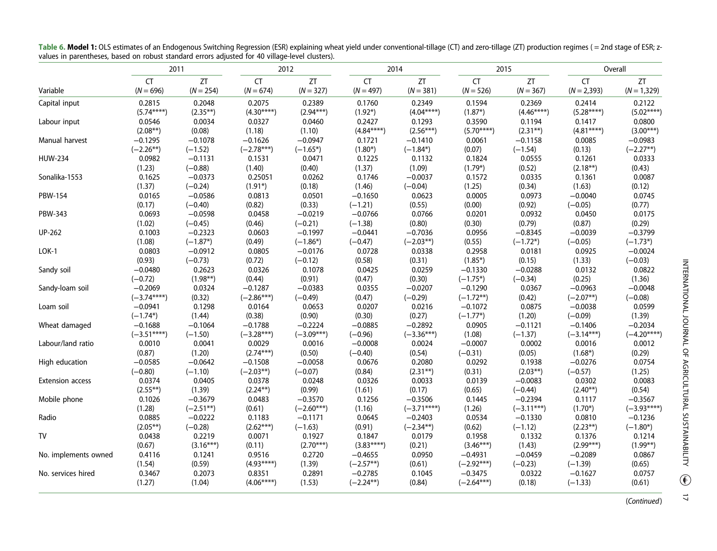|                         | 2011                     |                   | 2012              |                   | 2014                     |                   | 2015                     |                   | Overall                    |                     |
|-------------------------|--------------------------|-------------------|-------------------|-------------------|--------------------------|-------------------|--------------------------|-------------------|----------------------------|---------------------|
| Variable                | <b>CT</b><br>$(N = 696)$ | ZT<br>$(N = 254)$ | CT<br>$(N = 674)$ | ZT<br>$(N = 327)$ | <b>CT</b><br>$(N = 497)$ | ZT<br>$(N = 381)$ | <b>CT</b><br>$(N = 526)$ | ZT<br>$(N = 367)$ | <b>CT</b><br>$(N = 2,393)$ | ZT<br>$(N = 1,329)$ |
| Capital input           | 0.2815                   | 0.2048            | 0.2075            | 0.2389            | 0.1760                   | 0.2349            | 0.1594                   | 0.2369            | 0.2414                     | 0.2122              |
|                         | $(5.74***)$              | $(2.35**)$        | $(4.30****)$      | $(2.94***)$       | $(1.92*)$                | $(4.04***)$       | $(1.87*)$                | $(4.46****)$      | $(5.28***)$                | $(5.02***)$         |
| Labour input            | 0.0546                   | 0.0034            | 0.0327            | 0.0460            | 0.2427                   | 0.1293            | 0.3590                   | 0.1194            | 0.1417                     | 0.0800              |
|                         | $(2.08**)$               | (0.08)            | (1.18)            | (1.10)            | $(4.84***)$              | $(2.56***)$       | $(5.70***)$              | $(2.31**)$        | $(4.81***)$                | $(3.00***)$         |
| Manual harvest          | $-0.1295$                | $-0.1078$         | $-0.1626$         | $-0.0947$         | 0.1721                   | $-0.1410$         | 0.0061                   | $-0.1158$         | 0.0085                     | $-0.0983$           |
|                         | $(-2.26**)$              | $(-1.52)$         | $(-2.78***)$      | $(-1.65*)$        | $(1.80*)$                | $(-1.84*)$        | (0.07)                   | $(-1.54)$         | (0.13)                     | $(-2.27**)$         |
| <b>HUW-234</b>          | 0.0982                   | $-0.1131$         | 0.1531            | 0.0471            | 0.1225                   | 0.1132            | 0.1824                   | 0.0555            | 0.1261                     | 0.0333              |
|                         | (1.23)                   | $(-0.88)$         | (1.40)            | (0.40)            | (1.37)                   | (1.09)            | $(1.79*)$                | (0.52)            | $(2.18**)$                 | (0.43)              |
| Sonalika-1553           | 0.1625                   | $-0.0373$         | 0.25051           | 0.0262            | 0.1746                   | $-0.0037$         | 0.1572                   | 0.0335            | 0.1361                     | 0.0087              |
|                         | (1.37)                   | $(-0.24)$         | $(1.91*)$         | (0.18)            | (1.46)                   | $(-0.04)$         | (1.25)                   | (0.34)            | (1.63)                     | (0.12)              |
| <b>PBW-154</b>          | 0.0165                   | $-0.0586$         | 0.0813            | 0.0501            | $-0.1650$                | 0.0623            | 0.0005                   | 0.0973            | $-0.0040$                  | 0.0745              |
|                         | (0.17)                   | $(-0.40)$         | (0.82)            | (0.33)            | $(-1.21)$                | (0.55)            | (0.00)                   | (0.92)            | $(-0.05)$                  | (0.77)              |
| PBW-343                 | 0.0693                   | $-0.0598$         | 0.0458            | $-0.0219$         | $-0.0766$                | 0.0766            | 0.0201                   | 0.0932            | 0.0450                     | 0.0175              |
|                         | (1.02)                   | $(-0.45)$         | (0.46)            | $(-0.21)$         | $(-1.38)$                | (0.80)            | (0.30)                   | (0.79)            | (0.87)                     | (0.29)              |
| UP-262                  | 0.1003                   | $-0.2323$         | 0.0603            | $-0.1997$         | $-0.0441$                | $-0.7036$         | 0.0956                   | $-0.8345$         | $-0.0039$                  | $-0.3799$           |
|                         | (1.08)                   | $(-1.87*)$        | (0.49)            | $(-1.86*)$        | $(-0.47)$                | $(-2.03**)$       | (0.55)                   | $(-1.72*)$        | $(-0.05)$                  | $(-1.73*)$          |
| $LOK-1$                 | 0.0803                   | $-0.0912$         | 0.0805            | $-0.0176$         | 0.0728                   | 0.0338            | 0.2958                   | 0.0181            | 0.0925                     | $-0.0024$           |
|                         | (0.93)                   | $(-0.73)$         | (0.72)            | $(-0.12)$         | (0.58)                   | (0.31)            | $(1.85*)$                | (0.15)            | (1.33)                     | $(-0.03)$           |
| Sandy soil              | $-0.0480$                | 0.2623            | 0.0326            | 0.1078            | 0.0425                   | 0.0259            | $-0.1330$                | $-0.0288$         | 0.0132                     | 0.0822              |
|                         | $(-0.72)$                | $(1.98**)$        | (0.44)            | (0.91)            | (0.47)                   | (0.30)            | $(-1.75*)$               | $(-0.34)$         | (0.25)                     | (1.36)              |
| Sandy-loam soil         | $-0.2069$                | 0.0324            | $-0.1287$         | $-0.0383$         | 0.0355                   | $-0.0207$         | $-0.1290$                | 0.0367            | $-0.0963$                  | $-0.0048$           |
|                         | $(-3.74***)$             | (0.32)            | $(-2.86***)$      | $(-0.49)$         | (0.47)                   | $(-0.29)$         | $(-1.72**)$              | (0.42)            | $(-2.07**)$                | $(-0.08)$           |
| Loam soil               | $-0.0941$                | 0.1298            | 0.0164            | 0.0653            | 0.0207                   | 0.0216            | $-0.1072$                | 0.0875            | $-0.0038$                  | 0.0599              |
|                         | $(-1.74*)$               | (1.44)            | (0.38)            | (0.90)            | (0.30)                   | (0.27)            | $(-1.77*)$               | (1.20)            | $(-0.09)$                  | (1.39)              |
| Wheat damaged           | $-0.1688$                | $-0.1064$         | $-0.1788$         | $-0.2224$         | $-0.0885$                | $-0.2892$         | 0.0905                   | $-0.1121$         | $-0.1406$                  | $-0.2034$           |
|                         | $(-3.51***)$             | $(-1.50)$         | $(-3.28***)$      | $(-3.09***)$      | $(-0.96)$                | $(-3.36***)$      | (1.08)                   | $(-1.37)$         | $(-3.14***)$               | $(-4.20***)$        |
| Labour/land ratio       | 0.0010                   | 0.0041            | 0.0029            | 0.0016            | $-0.0008$                | 0.0024            | $-0.0007$                | 0.0002            | 0.0016                     | 0.0012              |
|                         | (0.87)                   | (1.20)            | $(2.74***)$       | (0.50)            | $(-0.40)$                | (0.54)            | $(-0.31)$                | (0.05)            | $(1.68*)$                  | (0.29)              |
| High education          | $-0.0585$                | $-0.0642$         | $-0.1508$         | $-0.0058$         | 0.0676                   | 0.2080            | 0.0292                   | 0.1938            | $-0.0276$                  | 0.0754              |
|                         | $(-0.80)$                | $(-1.10)$         | $(-2.03**)$       | $(-0.07)$         | (0.84)                   | $(2.31**)$        | (0.31)                   | $(2.03**)$        | $(-0.57)$                  | (1.25)              |
| <b>Extension access</b> | 0.0374                   | 0.0405            | 0.0378            | 0.0248            | 0.0326                   | 0.0033            | 0.0139                   | $-0.0083$         | 0.0302                     | 0.0083              |
|                         | $(2.55**)$               | (1.39)            | $(2.24**)$        | (0.99)            | (1.61)                   | (0.17)            | (0.65)                   | $(-0.44)$         | $(2.40**)$                 | (0.54)              |
| Mobile phone            | 0.1026                   | $-0.3679$         | 0.0483            | $-0.3570$         | 0.1256                   | $-0.3506$         | 0.1445                   | $-0.2394$         | 0.1117                     | $-0.3567$           |
|                         | (1.28)                   | $(-2.51**)$       | (0.61)            | $(-2.60***)$      | (1.16)                   | $(-3.71***)$      | (1.26)                   | $(-3.11***)$      | $(1.70*)$                  | $(-3.93****)$       |
| Radio                   | 0.0885                   | $-0.0222$         | 0.1183            | $-0.1171$         | 0.0645                   | $-0.2403$         | 0.0534                   | $-0.1330$         | 0.0810                     | $-0.1236$           |
|                         | $(2.05**)$               | $(-0.28)$         | $(2.62***)$       | $(-1.63)$         | (0.91)                   | $(-2.34**)$       | (0.62)                   | $(-1.12)$         | $(2.23**)$                 | $(-1.80*)$          |
| <b>TV</b>               | 0.0438                   | 0.2219            | 0.0071            | 0.1927            | 0.1847                   | 0.0179            | 0.1958                   | 0.1332            | 0.1376                     | 0.1214              |
|                         | (0.67)                   | $(3.16***)$       | (0.11)            | $(2.70***)$       | $(3.83***)$              | (0.21)            | $(3.46***)$              | (1.43)            | $(2.99***)$                | $(1.99**)$          |
| No. implements owned    | 0.4116                   | 0.1241            | 0.9516            | 0.2720            | $-0.4655$                | 0.0950            | $-0.4931$                | $-0.0459$         | $-0.2089$                  | 0.0867              |
|                         | (1.54)                   | (0.59)            | $(4.93***)$       | (1.39)            | $(-2.57**)$              | (0.61)            | $(-2.92***)$             | $(-0.23)$         | $(-1.39)$                  | (0.65)              |
| No. services hired      | 0.3467                   | 0.2073            | 0.8351            | 0.2891            | $-0.2785$                | 0.1045            | $-0.3475$                | 0.0322            | $-0.1627$                  | 0.0757              |
|                         | (1.27)                   | (1.04)            | $(4.06****)$      | (1.53)            | $(-2.24**)$              | (0.84)            | $(-2.64***)$             | (0.18)            | $(-1.33)$                  | (0.61)              |

<span id="page-17-0"></span>Table 6. Model 1: OLS estimates of an Endogenous Switching Regression (ESR) explaining wheat yield under conventional-tillage (CT) and zero-tillage (ZT) production regimes ( = 2nd stage of ESR; zvalues in parentheses, based on robust standard errors adjusted for 40 village-level clusters).

(Continued)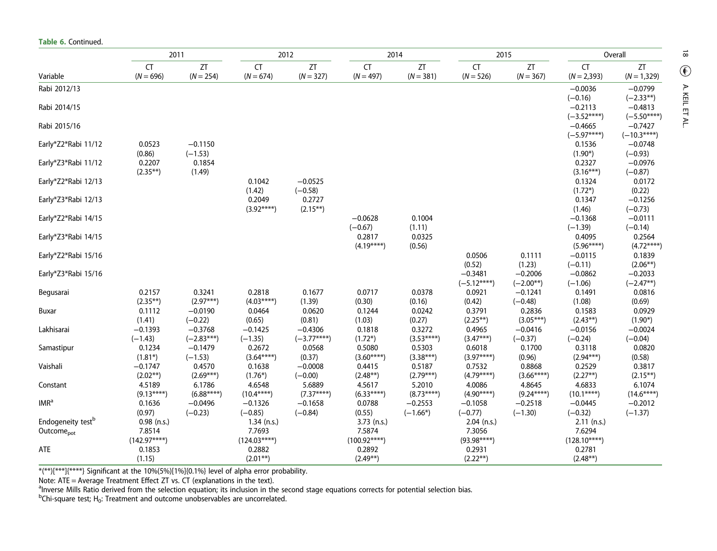|                               |                        | 2011                | 2012                  |                     | 2014                  |                       |                       | 2015             |                           | Overall                    |  |
|-------------------------------|------------------------|---------------------|-----------------------|---------------------|-----------------------|-----------------------|-----------------------|------------------|---------------------------|----------------------------|--|
|                               | <b>CT</b>              | ZT                  | CT                    | ZT                  | CT                    | ZT                    | <b>CT</b>             | ZT               | <b>CT</b>                 | ZT                         |  |
| Variable                      | $(N = 696)$            | $(N = 254)$         | $(N = 674)$           | $(N = 327)$         | $(N = 497)$           | $(N = 381)$           | $(N = 526)$           | $(N = 367)$      | $(N = 2,393)$             | $(N = 1,329)$              |  |
| Rabi 2012/13                  |                        |                     |                       |                     |                       |                       |                       |                  | $-0.0036$                 | $-0.0799$                  |  |
|                               |                        |                     |                       |                     |                       |                       |                       |                  | $(-0.16)$                 | $(-2.33**)$                |  |
| Rabi 2014/15                  |                        |                     |                       |                     |                       |                       |                       |                  | $-0.2113$                 | $-0.4813$                  |  |
|                               |                        |                     |                       |                     |                       |                       |                       |                  | $(-3.52***)$              | $(-5.50***)$               |  |
| Rabi 2015/16                  |                        |                     |                       |                     |                       |                       |                       |                  | $-0.4665$<br>$(-5.97***)$ | $-0.7427$<br>$(-10.3****)$ |  |
| Early*Z2*Rabi 11/12           | 0.0523                 | $-0.1150$           |                       |                     |                       |                       |                       |                  | 0.1536                    | $-0.0748$                  |  |
|                               | (0.86)                 | $(-1.53)$           |                       |                     |                       |                       |                       |                  | $(1.90*)$                 | $(-0.93)$                  |  |
| Early*Z3*Rabi 11/12           | 0.2207                 | 0.1854              |                       |                     |                       |                       |                       |                  | 0.2327                    | $-0.0976$                  |  |
|                               | $(2.35**)$             | (1.49)              |                       |                     |                       |                       |                       |                  | $(3.16***)$               | $(-0.87)$                  |  |
| Early*Z2*Rabi 12/13           |                        |                     | 0.1042                | $-0.0525$           |                       |                       |                       |                  | 0.1324                    | 0.0172                     |  |
|                               |                        |                     | (1.42)                | $(-0.58)$           |                       |                       |                       |                  | $(1.72*)$                 | (0.22)                     |  |
| Early*Z3*Rabi 12/13           |                        |                     | 0.2049                | 0.2727              |                       |                       |                       |                  | 0.1347                    | $-0.1256$                  |  |
|                               |                        |                     | $(3.92***)$           | $(2.15**)$          |                       |                       |                       |                  | (1.46)                    | $(-0.73)$                  |  |
| Early*Z2*Rabi 14/15           |                        |                     |                       |                     | $-0.0628$             | 0.1004                |                       |                  | $-0.1368$                 | $-0.0111$                  |  |
|                               |                        |                     |                       |                     | $(-0.67)$             | (1.11)                |                       |                  | $(-1.39)$                 | $(-0.14)$                  |  |
| Early*Z3*Rabi 14/15           |                        |                     |                       |                     | 0.2817<br>$(4.19***)$ | 0.0325<br>(0.56)      |                       |                  | 0.4095<br>$(5.96****)$    | 0.2564<br>$(4.72***)$      |  |
| Early*Z2*Rabi 15/16           |                        |                     |                       |                     |                       |                       | 0.0506                | 0.1111           | $-0.0115$                 | 0.1839                     |  |
|                               |                        |                     |                       |                     |                       |                       | (0.52)                | (1.23)           | $(-0.11)$                 | $(2.06**)$                 |  |
| Early*Z3*Rabi 15/16           |                        |                     |                       |                     |                       |                       | $-0.3481$             | $-0.2006$        | $-0.0862$                 | $-0.2033$                  |  |
|                               |                        |                     |                       |                     |                       |                       | $(-5.12***)$          | $(-2.00**)$      | $(-1.06)$                 | $(-2.47**)$                |  |
| Begusarai                     | 0.2157                 | 0.3241              | 0.2818                | 0.1677              | 0.0717                | 0.0378                | 0.0921                | $-0.1241$        | 0.1491                    | 0.0816                     |  |
|                               | $(2.35**)$             | $(2.97***)$         | $(4.03***)$           | (1.39)              | (0.30)                | (0.16)                | (0.42)                | $(-0.48)$        | (1.08)                    | (0.69)                     |  |
| Buxar                         | 0.1112                 | $-0.0190$           | 0.0464                | 0.0620              | 0.1244                | 0.0242                | 0.3791                | 0.2836           | 0.1583                    | 0.0929                     |  |
|                               | (1.41)                 | $(-0.22)$           | (0.65)                | (0.81)              | (1.03)                | (0.27)                | $(2.25**)$            | $(3.05***)$      | $(2.43**)$                | $(1.90*)$                  |  |
| Lakhisarai                    | $-0.1393$              | $-0.3768$           | $-0.1425$             | $-0.4306$           | 0.1818                | 0.3272                | 0.4965                | $-0.0416$        | $-0.0156$                 | $-0.0024$                  |  |
|                               | $(-1.43)$              | $(-2.83***)$        | $(-1.35)$             | $(-3.77***)$        | $(1.72*)$             | $(3.53***)$           | $(3.47***)$           | $(-0.37)$        | $(-0.24)$                 | $(-0.04)$                  |  |
| Samastipur                    | 0.1234                 | $-0.1479$           | 0.2672                | 0.0568              | 0.5080                | 0.5303                | 0.6018                | 0.1700           | 0.3118                    | 0.0820                     |  |
| Vaishali                      | $(1.81*)$<br>$-0.1747$ | $(-1.53)$<br>0.4570 | $(3.64***)$<br>0.1638 | (0.37)<br>$-0.0008$ | $(3.60***)$<br>0.4415 | $(3.38***)$<br>0.5187 | $(3.97***)$<br>0.7532 | (0.96)<br>0.8868 | $(2.94***)$<br>0.2529     | (0.58)<br>0.3817           |  |
|                               | $(2.02**)$             | $(2.69***)$         | $(1.76*)$             | $(-0.00)$           | $(2.48**)$            | $(2.79***)$           | $(4.79***)$           | $(3.66****)$     | $(2.27**)$                | $(2.15**)$                 |  |
| Constant                      | 4.5189                 | 6.1786              | 4.6548                | 5.6889              | 4.5617                | 5.2010                | 4.0086                | 4.8645           | 4.6833                    | 6.1074                     |  |
|                               | $(9.13***)$            | $(6.88***)$         | $(10.4****)$          | $(7.37***)$         | $(6.33***)$           | $(8.73***)$           | $(4.90***)$           | $(9.24***)$      | $(10.1***)$               | $(14.6***)$                |  |
| IMR <sup>a</sup>              | 0.1636                 | $-0.0496$           | $-0.1326$             | $-0.1658$           | 0.0788                | $-0.2553$             | $-0.1058$             | $-0.2518$        | $-0.0445$                 | $-0.2012$                  |  |
|                               | (0.97)                 | $(-0.23)$           | $(-0.85)$             | $(-0.84)$           | (0.55)                | $(-1.66*)$            | $(-0.77)$             | $(-1.30)$        | $(-0.32)$                 | $(-1.37)$                  |  |
| Endogeneity test <sup>b</sup> | $0.98$ (n.s.)          |                     | $1.34$ (n.s.)         |                     | $3.73$ (n.s.)         |                       | $2.04$ (n.s.)         |                  | $2.11$ (n.s.)             |                            |  |
| Outcome <sub>pot</sub>        | 7.8514                 |                     | 7.7693                |                     | 7.5874                |                       | 7.3056                |                  | 7.6294                    |                            |  |
|                               | $(142.97***)$          |                     | $(124.03***)$         |                     | $(100.92****)$        |                       | $(93.98***)$          |                  | $(128.10****)$            |                            |  |
| ATE                           | 0.1853                 |                     | 0.2882                |                     | 0.2892                |                       | 0.2931                |                  | 0.2781                    |                            |  |
|                               | (1.15)                 |                     | $(2.01**)$            |                     | $(2.49**)$            |                       | $(2.22**)$            |                  | $(2.48**)$                |                            |  |

\*(\*\*)[\*\*\*]{\*\*\*\*} Significant at the 10%(5%)[1%]{0.1%} level of alpha error probability.

Table 6. Continued.

Note: ATE = Average Treatment Effect ZT vs. CT (explanations in the text).<br><sup>a</sup>lnverse Mills Ratio derived from the selection equation; its inclusion in the second stage equations corrects for potential selection bias.<br><sup>b</sup>

 $\overline{8}$ A. KEIL ET AL. A. KEIL ET AL.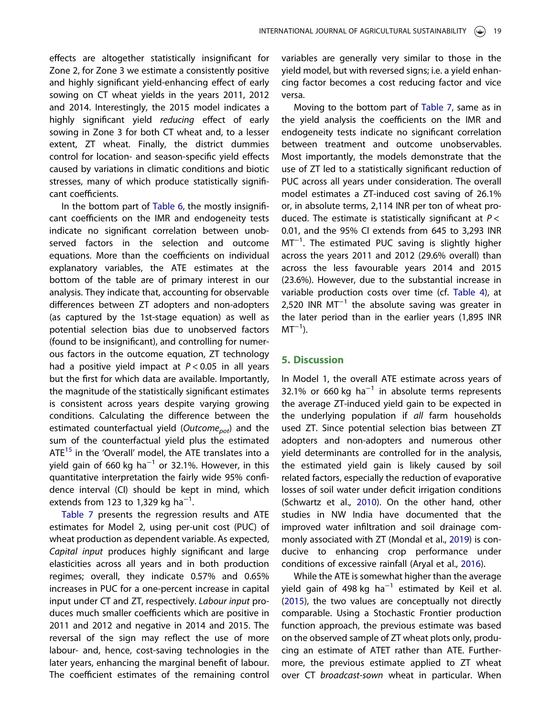<span id="page-19-0"></span>effects are altogether statistically insignificant for Zone 2, for Zone 3 we estimate a consistently positive and highly significant yield-enhancing effect of early sowing on CT wheat yields in the years 2011, 2012 and 2014. Interestingly, the 2015 model indicates a highly significant yield *reducing* effect of early sowing in Zone 3 for both CT wheat and, to a lesser extent, ZT wheat. Finally, the district dummies control for location- and season-specific yield effects caused by variations in climatic conditions and biotic stresses, many of which produce statistically significant coefficients.

In the bottom part of [Table 6,](#page-17-0) the mostly insignificant coefficients on the IMR and endogeneity tests indicate no significant correlation between unobserved factors in the selection and outcome equations. More than the coefficients on individual explanatory variables, the ATE estimates at the bottom of the table are of primary interest in our analysis. They indicate that, accounting for observable differences between ZT adopters and non-adopters (as captured by the 1st-stage equation) as well as potential selection bias due to unobserved factors (found to be insignificant), and controlling for numerous factors in the outcome equation, ZT technology had a positive yield impact at *P* < 0.05 in all years but the first for which data are available. Importantly, the magnitude of the statistically significant estimates is consistent across years despite varying growing conditions. Calculating the difference between the estimated counterfactual yield (*Outcomepot*) and the sum of the counterfactual yield plus the estimated ATE<sup>[15](#page-24-0)</sup> in the 'Overall' model, the ATE translates into a yield gain of 660 kg ha $^{-1}$  or 32.1%. However, in this quantitative interpretation the fairly wide 95% confidence interval (CI) should be kept in mind, which extends from 123 to 1,329 kg ha<sup>-1</sup>. .

[Table 7](#page-20-0) presents the regression results and ATE estimates for Model 2, using per-unit cost (PUC) of wheat production as dependent variable. As expected, *Capital input* produces highly significant and large elasticities across all years and in both production regimes; overall, they indicate 0.57% and 0.65% increases in PUC for a one-percent increase in capital input under CT and ZT, respectively. *Labour input* produces much smaller coefficients which are positive in 2011 and 2012 and negative in 2014 and 2015. The reversal of the sign may reflect the use of more labour- and, hence, cost-saving technologies in the later years, enhancing the marginal benefit of labour. The coefficient estimates of the remaining control variables are generally very similar to those in the yield model, but with reversed signs; i.e. a yield enhancing factor becomes a cost reducing factor and vice versa.

Moving to the bottom part of [Table 7,](#page-20-0) same as in the yield analysis the coefficients on the IMR and endogeneity tests indicate no significant correlation between treatment and outcome unobservables. Most importantly, the models demonstrate that the use of ZT led to a statistically significant reduction of PUC across all years under consideration. The overall model estimates a ZT-induced cost saving of 26.1% or, in absolute terms, 2,114 INR per ton of wheat produced. The estimate is statistically significant at *P* < 0.01, and the 95% CI extends from 645 to 3,293 INR MT<sup>-1</sup>. The estimated PUC saving is slightly higher across the years 2011 and 2012 (29.6% overall) than across the less favourable years 2014 and 2015 (23.6%). However, due to the substantial increase in variable production costs over time (cf. [Table 4](#page-14-0)), at 2,520 INR MT<sup>-1</sup> the absolute saving was greater in the later period than in the earlier years (1,895 INR  $MT^{-1}$ ).

#### 5. Discussion

In Model 1, the overall ATE estimate across years of 32.1% or 660 kg ha<sup>-1</sup> in absolute terms represents the average ZT-induced yield gain to be expected in the underlying population if *all* farm households used ZT. Since potential selection bias between ZT adopters and non-adopters and numerous other yield determinants are controlled for in the analysis, the estimated yield gain is likely caused by soil related factors, especially the reduction of evaporative losses of soil water under deficit irrigation conditions (Schwartz et al., [2010](#page-26-0)). On the other hand, other studies in NW India have documented that the improved water infiltration and soil drainage commonly associated with ZT (Mondal et al., [2019](#page-26-0)) is conducive to enhancing crop performance under conditions of excessive rainfall (Aryal et al., [2016\)](#page-25-0).

While the ATE is somewhat higher than the average yield gain of 498 kg ha<sup>-1</sup> estimated by Keil et al. ([2015](#page-26-0)), the two values are conceptually not directly comparable. Using a Stochastic Frontier production function approach, the previous estimate was based on the observed sample of ZT wheat plots only, producing an estimate of ATET rather than ATE. Furthermore, the previous estimate applied to ZT wheat over CT *broadcast-sown* wheat in particular. When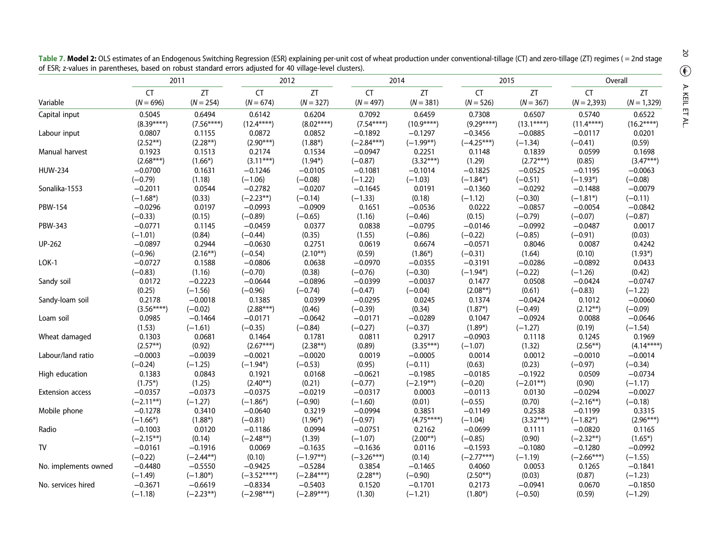|                         | 2011                                  |                                  |                                       | 2012                             |                                     | 2014                            |                                     | 2015                            | Overall                            |                                     |
|-------------------------|---------------------------------------|----------------------------------|---------------------------------------|----------------------------------|-------------------------------------|---------------------------------|-------------------------------------|---------------------------------|------------------------------------|-------------------------------------|
| Variable                | <b>CT</b>                             | ZT                               | <b>CT</b>                             | ZT                               | CT                                  | ZT                              | <b>CT</b>                           | ZT                              | CT                                 | ZT                                  |
|                         | $(N = 696)$                           | $(N = 254)$                      | $(N = 674)$                           | $(N = 327)$                      | $(N = 497)$                         | $(N = 381)$                     | $(N = 526)$                         | $(N = 367)$                     | $(N = 2,393)$                      | $(N = 1,329)$                       |
| Capital input           | 0.5045                                | 0.6494                           | 0.6142                                | 0.6204                           | 0.7092                              | 0.6459                          | 0.7308                              | 0.6507                          | 0.5740                             | 0.6522                              |
| Labour input            | $(8.39***)$                           | $(7.56***)$                      | $(12.4***)$                           | $(8.02****)$                     | $(7.54***)$                         | $(10.9****)$                    | $(9.29***)$                         | $(13.1***)$                     | $(11.4****)$                       | $(16.2***)$                         |
|                         | 0.0807                                | 0.1155                           | 0.0872                                | 0.0852                           | $-0.1892$                           | $-0.1297$                       | $-0.3456$                           | $-0.0885$                       | $-0.0117$                          | 0.0201                              |
|                         | $(2.52**)$                            | $(2.28**)$                       | $(2.90***)$                           | $(1.88*)$                        | $(-2.84***)$                        | $(-1.99**)$                     | $(-4.25***)$                        | $(-1.34)$                       | $(-0.41)$                          | (0.59)                              |
| Manual harvest          | 0.1923                                | 0.1513                           | 0.2174                                | 0.1534                           | $-0.0947$                           | 0.2251                          | 0.1148                              | 0.1839                          | 0.0599                             | 0.1698                              |
|                         | $(2.68***)$                           | $(1.66*)$                        | $(3.11***)$                           | $(1.94*)$                        | $(-0.87)$                           | $(3.32***)$                     | (1.29)                              | $(2.72***)$                     | (0.85)                             | $(3.47***)$                         |
| <b>HUW-234</b>          | $-0.0700$                             | 0.1631                           | $-0.1246$                             | $-0.0105$                        | $-0.1081$                           | $-0.1014$                       | $-0.1825$                           | $-0.0525$                       | $-0.1195$                          | $-0.0063$                           |
|                         | $(-0.79)$                             | (1.18)                           | $(-1.06)$                             | $(-0.08)$                        | $(-1.22)$                           | $(-1.03)$                       | $(-1.84*)$                          | $(-0.51)$                       | $(-1.93*)$                         | $(-0.08)$                           |
| Sonalika-1553           | $-0.2011$                             | 0.0544                           | $-0.2782$                             | $-0.0207$                        | $-0.1645$                           | 0.0191                          | $-0.1360$                           | $-0.0292$                       | $-0.1488$                          | $-0.0079$                           |
|                         | $(-1.68*)$                            | (0.33)                           | $(-2.23**)$                           | $(-0.14)$                        | $(-1.33)$                           | (0.18)                          | $(-1.12)$                           | $(-0.30)$                       | $(-1.81*)$                         | $(-0.11)$                           |
| <b>PBW-154</b>          | $-0.0296$                             | 0.0197                           | $-0.0993$                             | $-0.0909$                        | 0.1651                              | $-0.0536$                       | 0.0222                              | $-0.0857$                       | $-0.0054$                          | $-0.0842$                           |
|                         | $(-0.33)$                             | (0.15)                           | $(-0.89)$                             | $(-0.65)$                        | (1.16)                              | $(-0.46)$                       | (0.15)                              | $(-0.79)$                       | $(-0.07)$                          | $(-0.87)$                           |
| <b>PBW-343</b>          | $-0.0771$                             | 0.1145                           | $-0.0459$                             | 0.0377                           | 0.0838                              | $-0.0795$                       | $-0.0146$                           | $-0.0992$                       | $-0.0487$                          | 0.0017                              |
|                         | $(-1.01)$                             | (0.84)                           | $(-0.44)$                             | (0.35)                           | (1.55)                              | $(-0.86)$                       | $(-0.22)$                           | $(-0.85)$                       | $(-0.91)$                          | (0.03)                              |
| <b>UP-262</b>           | $-0.0897$                             | 0.2944                           | $-0.0630$                             | 0.2751                           | 0.0619                              | 0.6674                          | $-0.0571$                           | 0.8046                          | 0.0087                             | 0.4242                              |
|                         | $(-0.96)$                             | $(2.16**)$                       | $(-0.54)$                             | $(2.10**)$                       | (0.59)                              | $(1.86*)$                       | $(-0.31)$                           | (1.64)                          | (0.10)                             | $(1.93*)$                           |
| $LOK-1$                 | $-0.0727$                             | 0.1588                           | $-0.0806$                             | 0.0638                           | $-0.0970$                           | $-0.0355$                       | $-0.3191$                           | $-0.0286$                       | $-0.0892$                          | 0.0433                              |
| Sandy soil              | $(-0.83)$                             | (1.16)                           | $(-0.70)$                             | (0.38)                           | $(-0.76)$                           | $(-0.30)$                       | $(-1.94*)$                          | $(-0.22)$                       | $(-1.26)$                          | (0.42)                              |
|                         | 0.0172                                | $-0.2223$                        | $-0.0644$                             | $-0.0896$                        | $-0.0399$                           | $-0.0037$                       | 0.1477                              | 0.0508                          | $-0.0424$                          | $-0.0747$                           |
| Sandy-loam soil         | (0.25)                                | $(-1.56)$                        | $(-0.96)$                             | $(-0.74)$                        | $(-0.47)$                           | $(-0.04)$                       | $(2.08**)$                          | (0.61)                          | $(-0.83)$                          | $(-1.22)$                           |
|                         | 0.2178                                | $-0.0018$                        | 0.1385                                | 0.0399                           | $-0.0295$                           | 0.0245                          | 0.1374                              | $-0.0424$                       | 0.1012                             | $-0.0060$                           |
| Loam soil               | $(3.56****)$                          | $(-0.02)$                        | $(2.88***)$                           | (0.46)                           | $(-0.39)$                           | (0.34)                          | $(1.87*)$                           | $(-0.49)$                       | $(2.12**)$                         | $(-0.09)$                           |
|                         | 0.0985                                | $-0.1464$                        | $-0.0171$                             | $-0.0642$                        | $-0.0171$                           | $-0.0289$                       | 0.1047                              | $-0.0924$                       | 0.0088                             | $-0.0646$                           |
| Wheat damaged           | (1.53)                                | $(-1.61)$                        | $(-0.35)$                             | $(-0.84)$                        | $(-0.27)$                           | $(-0.37)$                       | $(1.89*)$                           | $(-1.27)$                       | (0.19)                             | $(-1.54)$                           |
|                         | 0.1303                                | 0.0681                           | 0.1464                                | 0.1781                           | 0.0811                              | 0.2917                          | $-0.0903$                           | 0.1118                          | 0.1245                             | 0.1969                              |
| Labour/land ratio       | $(2.57**)$                            | (0.92)                           | $(2.67***)$                           | $(2.38**)$                       | (0.89)                              | $(3.35***)$                     | $(-1.07)$                           | (1.32)                          | $(2.56**)$                         | $(4.14***)$                         |
|                         | $-0.0003$                             | $-0.0039$                        | $-0.0021$                             | $-0.0020$                        | 0.0019                              | $-0.0005$                       | 0.0014                              | 0.0012                          | $-0.0010$                          | $-0.0014$                           |
| High education          | $(-0.24)$                             | $(-1.25)$                        | $(-1.94*)$                            | $(-0.53)$                        | (0.95)                              | $(-0.11)$                       | (0.63)                              | (0.23)                          | $(-0.97)$                          | $(-0.34)$                           |
|                         | 0.1383                                | 0.0843                           | 0.1921                                | 0.0168                           | $-0.0621$                           | $-0.1985$                       | $-0.0185$                           | $-0.1922$                       | 0.0509                             | $-0.0734$                           |
| <b>Extension access</b> | $(1.75*)$<br>$-0.0357$<br>$(-2.11**)$ | (1.25)<br>$-0.0373$<br>$(-1.27)$ | $(2.40**)$<br>$-0.0375$<br>$(-1.86*)$ | (0.21)<br>$-0.0219$<br>$(-0.90)$ | $(-0.77)$<br>$-0.0317$              | $(-2.19**)$<br>0.0003<br>(0.01) | $(-0.20)$<br>$-0.0113$              | $(-2.01**)$<br>0.0130<br>(0.70) | (0.90)<br>$-0.0294$<br>$(-2.16**)$ | $(-1.17)$<br>$-0.0027$<br>$(-0.18)$ |
| Mobile phone            | $-0.1278$<br>$(-1.66*)$               | 0.3410<br>$(1.88*)$              | $-0.0640$<br>$(-0.81)$                | 0.3219<br>$(1.96*)$              | $(-1.60)$<br>$-0.0994$<br>$(-0.97)$ | 0.3851<br>$(4.75***)$           | $(-0.55)$<br>$-0.1149$<br>$(-1.04)$ | 0.2538<br>$(3.32***)$           | $-0.1199$<br>$(-1.82*)$            | 0.3315<br>$(2.96***)$               |
| Radio                   | $-0.1003$<br>$(-2.15**)$              | 0.0120                           | $-0.1186$<br>$(-2.48**)$              | 0.0994<br>(1.39)                 | $-0.0751$                           | 0.2162<br>$(2.00**)$            | $-0.0699$<br>$(-0.85)$              | 0.1111<br>(0.90)                | $-0.0820$                          | 0.1165                              |
| ${\sf TV}$              | $-0.0161$                             | (0.14)<br>$-0.1916$              | 0.0069                                | $-0.1635$                        | $(-1.07)$<br>$-0.1636$              | 0.0116                          | $-0.1593$                           | $-0.1080$                       | $(-2.32**)$<br>$-0.1280$           | $(1.65*)$<br>$-0.0992$              |
| No. implements owned    | $(-0.22)$                             | $(-2.44**)$                      | (0.10)                                | $(-1.97**)$                      | $(-3.26***)$                        | (0.14)                          | $(-2.77***)$                        | $(-1.19)$                       | $(-2.66***)$                       | $(-1.55)$                           |
|                         | $-0.4480$                             | $-0.5550$                        | $-0.9425$                             | $-0.5284$                        | 0.3854                              | $-0.1465$                       | 0.4060                              | 0.0053                          | 0.1265                             | $-0.1841$                           |
| No. services hired      | $(-1.49)$                             | $(-1.80*)$                       | $(-3.52***)$                          | $(-2.84***)$                     | $(2.28**)$                          | $(-0.90)$                       | $(2.50**)$                          | (0.03)                          | (0.87)                             | $(-1.23)$                           |
|                         | $-0.3671$                             | $-0.6619$                        | $-0.8334$                             | $-0.5403$                        | 0.1520                              | $-0.1701$                       | 0.2173                              | $-0.0941$                       | 0.0670                             | $-0.1850$                           |
|                         | $(-1.18)$                             | $(-2.23**)$                      | $(-2.98***)$                          | $(-2.89***)$                     | (1.30)                              | $(-1.21)$                       | $(1.80*)$                           | $(-0.50)$                       | (0.59)                             | $(-1.29)$                           |

<span id="page-20-0"></span>Table 7. Model 2: OLS estimates of an Endogenous Switching Regression (ESR) explaining per-unit cost of wheat production under conventional-tillage (CT) and zero-tillage (ZT) regimes ( = 2nd stage of ESR; z-values in parentheses, based on robust standard errors adjusted for 40 village-level clusters).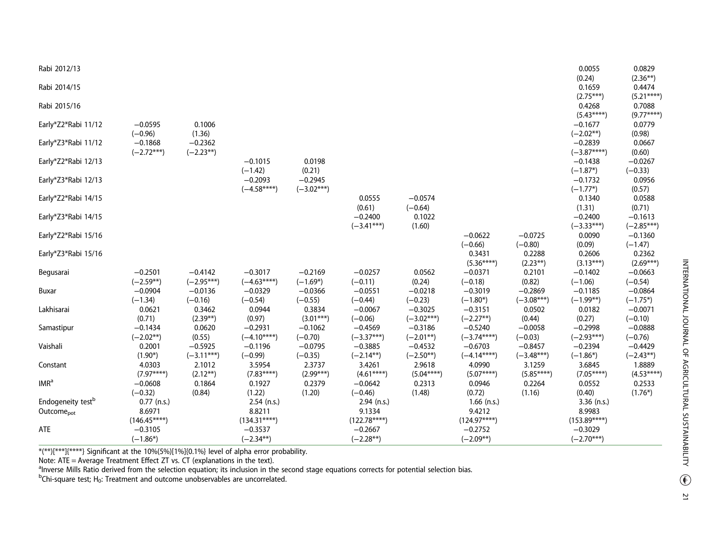| Rabi 2012/13                  |               |              |                           |              |                     |                     |               |              | 0.0055              | 0.0829              |
|-------------------------------|---------------|--------------|---------------------------|--------------|---------------------|---------------------|---------------|--------------|---------------------|---------------------|
|                               |               |              |                           |              |                     |                     |               |              | (0.24)              | $(2.36**)$          |
| Rabi 2014/15                  |               |              |                           |              |                     |                     |               |              | 0.1659              | 0.4474              |
|                               |               |              |                           |              |                     |                     |               |              | $(2.75***)$         | $(5.21***)$         |
| Rabi 2015/16                  |               |              |                           |              |                     |                     |               |              | 0.4268              | 0.7088              |
|                               |               |              |                           |              |                     |                     |               |              | $(5.43***)$         | $(9.77***)$         |
| Early*Z2*Rabi 11/12           | $-0.0595$     | 0.1006       |                           |              |                     |                     |               |              | $-0.1677$           | 0.0779              |
| Early*Z3*Rabi 11/12           | $(-0.96)$     | (1.36)       |                           |              |                     |                     |               |              | $(-2.02**)$         | (0.98)              |
|                               | $-0.1868$     | $-0.2362$    |                           |              |                     |                     |               |              | $-0.2839$           | 0.0667              |
|                               | $(-2.72***)$  | $(-2.23**)$  |                           |              |                     |                     |               |              | $(-3.87***)$        | (0.60)              |
| Early*Z2*Rabi 12/13           |               |              | $-0.1015$                 | 0.0198       |                     |                     |               |              | $-0.1438$           | $-0.0267$           |
| Early*Z3*Rabi 12/13           |               |              | $(-1.42)$                 | (0.21)       |                     |                     |               |              | $(-1.87*)$          | $(-0.33)$           |
|                               |               |              | $-0.2093$<br>$(-4.58***)$ | $-0.2945$    |                     |                     |               |              | $-0.1732$           | 0.0956              |
| Early*Z2*Rabi 14/15           |               |              |                           | $(-3.02***)$ |                     | $-0.0574$           |               |              | $(-1.77*)$          | (0.57)              |
|                               |               |              |                           |              | 0.0555              |                     |               |              | 0.1340              | 0.0588              |
| Early*Z3*Rabi 14/15           |               |              |                           |              | (0.61)<br>$-0.2400$ | $(-0.64)$<br>0.1022 |               |              | (1.31)<br>$-0.2400$ | (0.71)<br>$-0.1613$ |
|                               |               |              |                           |              | $(-3.41***)$        | (1.60)              |               |              | $(-3.33***)$        | $(-2.85***)$        |
| Early*Z2*Rabi 15/16           |               |              |                           |              |                     |                     | $-0.0622$     | $-0.0725$    | 0.0090              | $-0.1360$           |
|                               |               |              |                           |              |                     |                     | $(-0.66)$     | $(-0.80)$    | (0.09)              | $(-1.47)$           |
| Early*Z3*Rabi 15/16           |               |              |                           |              |                     |                     | 0.3431        | 0.2288       | 0.2606              | 0.2362              |
|                               |               |              |                           |              |                     |                     | $(5.36***)$   | $(2.23**)$   | $(3.13***)$         | $(2.69***)$         |
| Begusarai                     | $-0.2501$     | $-0.4142$    | $-0.3017$                 | $-0.2169$    | $-0.0257$           | 0.0562              | $-0.0371$     | 0.2101       | $-0.1402$           | $-0.0663$           |
|                               | $(-2.59**)$   | $(-2.95***)$ | $(-4.63***)$              | $(-1.69*)$   | $(-0.11)$           | (0.24)              | $(-0.18)$     | (0.82)       | $(-1.06)$           | $(-0.54)$           |
| Buxar                         | $-0.0904$     | $-0.0136$    | $-0.0329$                 | $-0.0366$    | $-0.0551$           | $-0.0218$           | $-0.3019$     | $-0.2869$    | $-0.1185$           | $-0.0864$           |
|                               | $(-1.34)$     | $(-0.16)$    | $(-0.54)$                 | $(-0.55)$    | $(-0.44)$           | $(-0.23)$           | $(-1.80*)$    | $(-3.08***)$ | $(-1.99**)$         | $(-1.75*)$          |
| Lakhisarai                    | 0.0621        | 0.3462       | 0.0944                    | 0.3834       | $-0.0067$           | $-0.3025$           | $-0.3151$     | 0.0502       | 0.0182              | $-0.0071$           |
|                               | (0.71)        | $(2.39**)$   | (0.97)                    | $(3.01***)$  | $(-0.06)$           | $(-3.02***)$        | $(-2.27**)$   | (0.44)       | (0.27)              | $(-0.10)$           |
| Samastipur                    | $-0.1434$     | 0.0620       | $-0.2931$                 | $-0.1062$    | $-0.4569$           | $-0.3186$           | $-0.5240$     | $-0.0058$    | $-0.2998$           | $-0.0888$           |
|                               | $(-2.02**)$   | (0.55)       | $(-4.10***)$              | $(-0.70)$    | $(-3.37***)$        | $(-2.01**)$         | $(-3.74***)$  | $(-0.03)$    | $(-2.93***)$        | $(-0.76)$           |
| Vaishali                      | 0.2001        | $-0.5925$    | $-0.1196$                 | $-0.0795$    | $-0.3885$           | $-0.4532$           | $-0.6703$     | $-0.8457$    | $-0.2394$           | $-0.4429$           |
|                               | $(1.90*)$     | $(-3.11***)$ | $(-0.99)$                 | $(-0.35)$    | $(-2.14**)$         | $(-2.50**)$         | $(-4.14***)$  | $(-3.48***)$ | $(-1.86*)$          | $(-2.43**)$         |
| Constant                      | 4.0303        | 2.1012       | 3.5954                    | 2.3737       | 3.4261              | 2.9618              | 4.0990        | 3.1259       | 3.6845              | 1.8889              |
|                               | $(7.97***)$   | $(2.12**)$   | $(7.83***)$               | $(2.99***)$  | $(4.61***)$         | $(5.04***)$         | $(5.07****)$  | $(5.85***)$  | $(7.05***)$         | $(4.53***)$         |
| IMR <sup>a</sup>              | $-0.0608$     | 0.1864       | 0.1927                    | 0.2379       | $-0.0642$           | 0.2313              | 0.0946        | 0.2264       | 0.0552              | 0.2533              |
|                               | $(-0.32)$     | (0.84)       | (1.22)                    | (1.20)       | $(-0.46)$           | (1.48)              | (0.72)        | (1.16)       | (0.40)              | $(1.76*)$           |
| Endogeneity test <sup>b</sup> | $0.77$ (n.s.) |              | 2.54 (n.s.)               |              | $2.94$ (n.s.)       |                     | $1.66$ (n.s.) |              | $3.36$ (n.s.)       |                     |
| Outcome <sub>pot</sub>        | 8.6971        |              | 8.8211                    |              | 9.1334              |                     | 9.4212        |              | 8.9983              |                     |
|                               | $(146.45***)$ |              | $(134.31***)$             |              | $(122.78***)$       |                     | $(124.97***)$ |              | $(153.89***)$       |                     |
| ATE                           | $-0.3105$     |              | $-0.3537$                 |              | $-0.2667$           |                     | $-0.2752$     |              | $-0.3029$           |                     |
|                               | $(-1.86*)$    |              | $(-2.34**)$               |              | $(-2.28**)$         |                     | $(-2.09**)$   |              | $(-2.70***)$        |                     |
|                               |               |              |                           |              |                     |                     |               |              |                     |                     |

\*(\*\*)[\*\*\*]{\*\*\*\*} Significant at the 10%(5%)[1%]{0.1%} level of alpha error probability.

Note: ATE = Average Treatment Effect ZT vs. CT (explanations in the text).<br><sup>a</sup>Inverse Mills Ratio derived from the selection equation; its inclusion in the second stage equations corrects for potential selection bias.<br><sup>b</sup>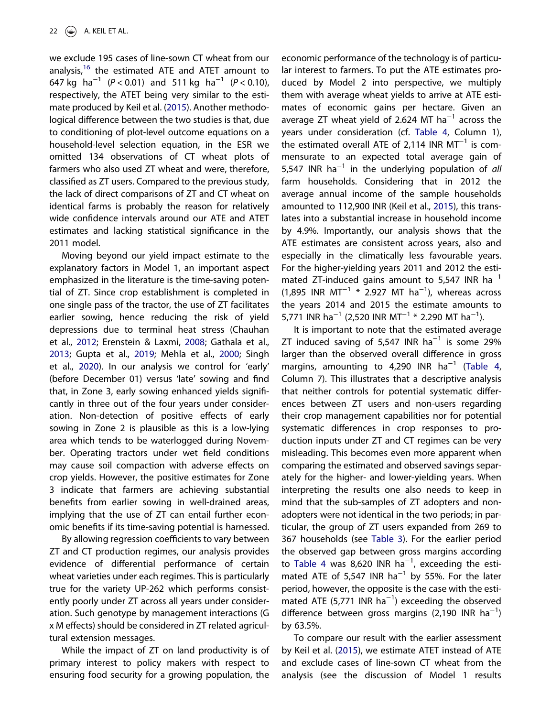we exclude 195 cases of line-sown CT wheat from our analysis, $16$  the estimated ATE and ATET amount to 647 kg ha−<sup>1</sup> (*<sup>P</sup>* < 0.01) and 511 kg ha−<sup>1</sup> (*P* < 0.10), respectively, the ATET being very similar to the estimate produced by Keil et al. [\(2015](#page-26-0)). Another methodological difference between the two studies is that, due to conditioning of plot-level outcome equations on a household-level selection equation, in the ESR we omitted 134 observations of CT wheat plots of farmers who also used ZT wheat and were, therefore, classified as ZT users. Compared to the previous study, the lack of direct comparisons of ZT and CT wheat on identical farms is probably the reason for relatively wide confidence intervals around our ATE and ATET estimates and lacking statistical significance in the 2011 model.

Moving beyond our yield impact estimate to the explanatory factors in Model 1, an important aspect emphasized in the literature is the time-saving potential of ZT. Since crop establishment is completed in one single pass of the tractor, the use of ZT facilitates earlier sowing, hence reducing the risk of yield depressions due to terminal heat stress (Chauhan et al., [2012;](#page-25-0) Erenstein & Laxmi, [2008](#page-25-0); Gathala et al., [2013](#page-25-0); Gupta et al., [2019](#page-26-0); Mehla et al., [2000;](#page-26-0) Singh et al., [2020](#page-27-0)). In our analysis we control for 'early' (before December 01) versus 'late' sowing and find that, in Zone 3, early sowing enhanced yields significantly in three out of the four years under consideration. Non-detection of positive effects of early sowing in Zone 2 is plausible as this is a low-lying area which tends to be waterlogged during November. Operating tractors under wet field conditions may cause soil compaction with adverse effects on crop yields. However, the positive estimates for Zone 3 indicate that farmers are achieving substantial benefits from earlier sowing in well-drained areas, implying that the use of ZT can entail further economic benefits if its time-saving potential is harnessed.

By allowing regression coefficients to vary between ZT and CT production regimes, our analysis provides evidence of differential performance of certain wheat varieties under each regimes. This is particularly true for the variety UP-262 which performs consistently poorly under ZT across all years under consideration. Such genotype by management interactions (G xMeffects) should be considered in ZT related agricultural extension messages.

While the impact of ZT on land productivity is of primary interest to policy makers with respect to ensuring food security for a growing population, the

economic performance of the technology is of particular interest to farmers. To put the ATE estimates produced by Model 2 into perspective, we multiply them with average wheat yields to arrive at ATE estimates of economic gains per hectare. Given an average ZT wheat yield of 2.624 MT ha<sup>-1</sup> across the years under consideration (cf. [Table 4](#page-14-0), Column 1), .<br>the estimated overall ATE of 2,114 INR MT<sup>−1</sup> is commensurate to an expected total average gain of 5,547 INR ha−<sup>1</sup> in the underlying population of *all* farm households. Considering that in 2012 the average annual income of the sample households amounted to 112,900 INR (Keil et al., [2015](#page-26-0)), this translates into a substantial increase in household income by 4.9%. Importantly, our analysis shows that the ATE estimates are consistent across years, also and especially in the climatically less favourable years. For the higher-yielding years 2011 and 2012 the estimated ZT-induced gains amount to 5,547 INR  $ha^{-1}$  $(1,895$  INR MT<sup>-1</sup> \* 2.927 MT ha<sup>-1</sup>), whereas across the years 2014 and 2015 the estimate amounts to 5,771 INR ha<sup>-1</sup> (2,520 INR MT<sup>-1</sup> \* 2.290 MT ha<sup>-1</sup>).

It is important to note that the estimated average ZT induced saving of 5,547 INR  $ha^{-1}$  is some 29% larger than the observed overall difference in gross margins, amounting to 4,290 INR ha<sup>-1</sup> [\(Table 4,](#page-14-0) Column 7). This illustrates that a descriptive analysis that neither controls for potential systematic differences between ZT users and non-users regarding their crop management capabilities nor for potential systematic differences in crop responses to production inputs under ZT and CT regimes can be very misleading. This becomes even more apparent when comparing the estimated and observed savings separately for the higher- and lower-yielding years. When interpreting the results one also needs to keep in mind that the sub-samples of ZT adopters and nonadopters were not identical in the two periods; in particular, the group of ZT users expanded from 269 to 367 households (see [Table 3\)](#page-13-0). For the earlier period the observed gap between gross margins according to [Table 4](#page-14-0) was 8,620 INR  $ha^{-1}$ , exceeding the estimated ATE of 5,547 INR  $ha^{-1}$  by 55%. For the later period, however, the opposite is the case with the esti-.<br>mated ATE (5,771 INR ha<sup>−1</sup>) exceeding the observed difference between gross margins (2,190 INR ha−<sup>1</sup> ) by 63.5%.

To compare our result with the earlier assessment by Keil et al. ([2015](#page-26-0)), we estimate ATET instead of ATE and exclude cases of line-sown CT wheat from the analysis (see the discussion of Model 1 results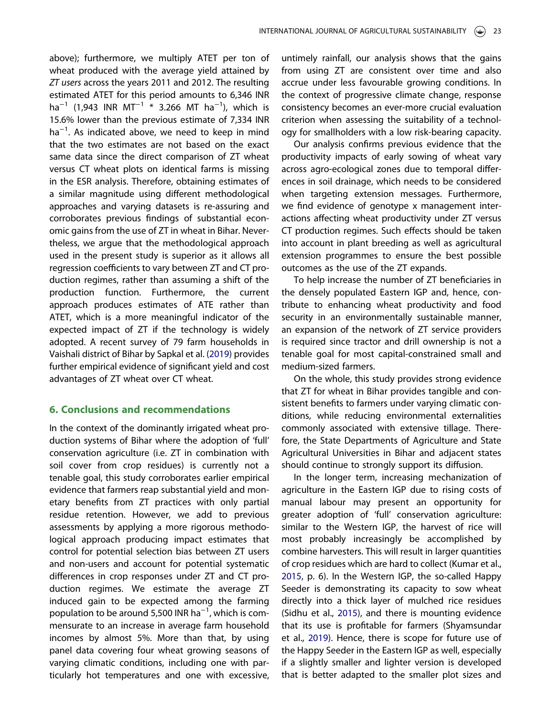<span id="page-23-0"></span>above); furthermore, we multiply ATET per ton of wheat produced with the average yield attained by *ZT users* across the years 2011 and 2012. The resulting estimated ATET for this period amounts to 6,346 INR ha<sup>-1</sup> (1,943 INR MT<sup>-1</sup>  $*$  3.266 MT ha<sup>-1</sup>), which is 15.6% lower than the previous estimate of 7,334 INR ha<sup>-1</sup>. As indicated above, we need to keep in mind that the two estimates are not based on the exact same data since the direct comparison of ZT wheat versus CT wheat plots on identical farms is missing in the ESR analysis. Therefore, obtaining estimates of a similar magnitude using different methodological approaches and varying datasets is re-assuring and corroborates previous findings of substantial economic gains from the use of ZT in wheat in Bihar. Nevertheless, we argue that the methodological approach used in the present study is superior as it allows all regression coefficients to vary between ZT and CT production regimes, rather than assuming a shift of the production function. Furthermore, the current approach produces estimates of ATE rather than ATET, which is a more meaningful indicator of the expected impact of ZT if the technology is widely adopted. A recent survey of 79 farm households in Vaishali district of Bihar by Sapkal et al. ([2019](#page-26-0)) provides further empirical evidence of significant yield and cost advantages of ZT wheat over CT wheat.

#### 6. Conclusions and recommendations

In the context of the dominantly irrigated wheat production systems of Bihar where the adoption of 'full' conservation agriculture (i.e. ZT in combination with soil cover from crop residues) is currently not a tenable goal, this study corroborates earlier empirical evidence that farmers reap substantial yield and monetary benefits from ZT practices with only partial residue retention. However, we add to previous assessments by applying a more rigorous methodological approach producing impact estimates that control for potential selection bias between ZT users and non-users and account for potential systematic differences in crop responses under ZT and CT production regimes. We estimate the average ZT induced gain to be expected among the farming population to be around 5,500 INR ha−<sup>1</sup> , which is commensurate to an increase in average farm household incomes by almost 5%. More than that, by using panel data covering four wheat growing seasons of varying climatic conditions, including one with particularly hot temperatures and one with excessive,

untimely rainfall, our analysis shows that the gains from using ZT are consistent over time and also accrue under less favourable growing conditions. In the context of progressive climate change, response consistency becomes an ever-more crucial evaluation criterion when assessing the suitability of a technology for smallholders with a low risk-bearing capacity.

Our analysis confirms previous evidence that the productivity impacts of early sowing of wheat vary across agro-ecological zones due to temporal differences in soil drainage, which needs to be considered when targeting extension messages. Furthermore, we find evidence of genotype x management interactions affecting wheat productivity under ZT versus CT production regimes. Such effects should be taken into account in plant breeding as well as agricultural extension programmes to ensure the best possible outcomes as the use of the ZT expands.

To help increase the number of ZT beneficiaries in the densely populated Eastern IGP and, hence, contribute to enhancing wheat productivity and food security in an environmentally sustainable manner, an expansion of the network of ZT service providers is required since tractor and drill ownership is not a tenable goal for most capital-constrained small and medium-sized farmers.

On the whole, this study provides strong evidence that ZT for wheat in Bihar provides tangible and consistent benefits to farmers under varying climatic conditions, while reducing environmental externalities commonly associated with extensive tillage. Therefore, the State Departments of Agriculture and State Agricultural Universities in Bihar and adjacent states should continue to strongly support its diffusion.

In the longer term, increasing mechanization of agriculture in the Eastern IGP due to rising costs of manual labour may present an opportunity for greater adoption of 'full' conservation agriculture: similar to the Western IGP, the harvest of rice will most probably increasingly be accomplished by combine harvesters. This will result in larger quantities of crop residues which are hard to collect (Kumar et al., [2015](#page-26-0), p. 6). In the Western IGP, the so-called Happy Seeder is demonstrating its capacity to sow wheat directly into a thick layer of mulched rice residues (Sidhu et al., [2015\)](#page-26-0), and there is mounting evidence that its use is profitable for farmers (Shyamsundar et al., [2019](#page-26-0)). Hence, there is scope for future use of the Happy Seeder in the Eastern IGP as well, especially if a slightly smaller and lighter version is developed that is better adapted to the smaller plot sizes and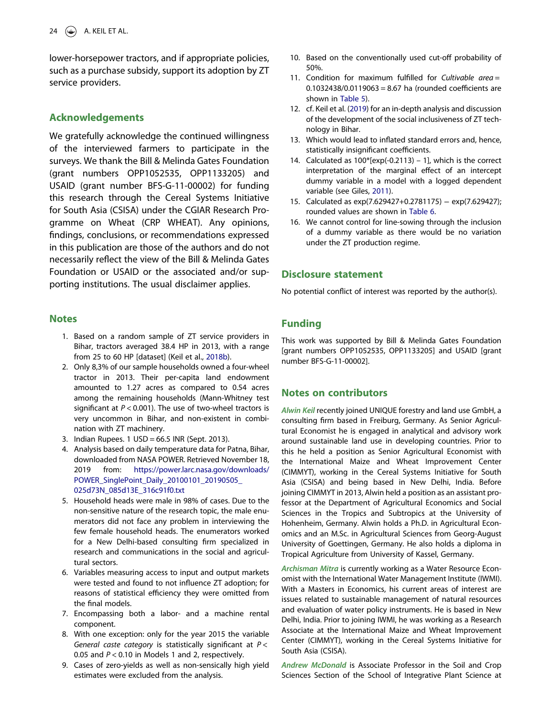<span id="page-24-0"></span>lower-horsepower tractors, and if appropriate policies, such as a purchase subsidy, support its adoption by ZT service providers.

#### Acknowledgements

We gratefully acknowledge the continued willingness of the interviewed farmers to participate in the surveys. We thank the Bill & Melinda Gates Foundation (grant numbers OPP1052535, OPP1133205) and USAID (grant number BFS-G-11-00002) for funding this research through the Cereal Systems Initiative for South Asia (CSISA) under the CGIAR Research Programme on Wheat (CRP WHEAT). Any opinions, findings, conclusions, or recommendations expressed in this publication are those of the authors and do not necessarily reflect the view of the Bill & Melinda Gates Foundation or USAID or the associated and/or supporting institutions. The usual disclaimer applies.

#### **Notes**

- 1. Based on a random sample of ZT service providers in Bihar, tractors averaged 38.4 HP in 2013, with a range from 25 to 60 HP [dataset] (Keil et al., [2018b](#page-26-0)).
- 2. Only 8,3% of our sample households owned a four-wheel tractor in 2013. Their per-capita land endowment amounted to 1.27 acres as compared to 0.54 acres among the remaining households (Mann-Whitney test significant at *P* < 0.001). The use of two-wheel tractors is very uncommon in Bihar, and non-existent in combination with ZT machinery.
- 3. Indian Rupees. 1 USD = 66.5 INR (Sept. 2013).
- 4. Analysis based on daily temperature data for Patna, Bihar, downloaded from NASA POWER. Retrieved November 18, 2019 from: [https://power.larc.nasa.gov/downloads/](https://power.larc.nasa.gov/downloads/POWER_SinglePoint_Daily_20100101_20190505_025d73N_085d13E_316c91f0.txt) [POWER\\_SinglePoint\\_Daily\\_20100101\\_20190505\\_](https://power.larc.nasa.gov/downloads/POWER_SinglePoint_Daily_20100101_20190505_025d73N_085d13E_316c91f0.txt) [025d73N\\_085d13E\\_316c91f0.txt](https://power.larc.nasa.gov/downloads/POWER_SinglePoint_Daily_20100101_20190505_025d73N_085d13E_316c91f0.txt)
- 5. Household heads were male in 98% of cases. Due to the non-sensitive nature of the research topic, the male enumerators did not face any problem in interviewing the few female household heads. The enumerators worked for a New Delhi-based consulting firm specialized in research and communications in the social and agricultural sectors.
- 6. Variables measuring access to input and output markets were tested and found to not influence ZT adoption; for reasons of statistical efficiency they were omitted from the final models.
- 7. Encompassing both a labor- and a machine rental component.
- 8. With one exception: only for the year 2015 the variable *General caste category* is statistically significant at *P* < 0.05 and *P* < 0.10 in Models 1 and 2, respectively.
- 9. Cases of zero-yields as well as non-sensically high yield estimates were excluded from the analysis.
- 10. Based on the conventionally used cut-off probability of 50%.
- 11. Condition for maximum fulfilled for *Cultivable area* =  $0.1032438/0.0119063 = 8.67$  ha (rounded coefficients are shown in [Table 5\)](#page-11-0).
- 12. cf. Keil et al. [\(2019](#page-26-0)) for an in-depth analysis and discussion of the development of the social inclusiveness of ZT technology in Bihar.
- 13. Which would lead to inflated standard errors and, hence, statistically insignificant coefficients.
- 14. Calculated as 100\*[exp(-0.2113) 1], which is the correct interpretation of the marginal effect of an intercept dummy variable in a model with a logged dependent variable (see Giles, [2011](#page-25-0)).
- 15. Calculated as exp(7.629427+0.2781175) − exp(7.629427); rounded values are shown in [Table 6.](#page-17-0)
- 16. We cannot control for line-sowing through the inclusion of a dummy variable as there would be no variation under the ZT production regime.

## Disclosure statement

No potential conflict of interest was reported by the author(s).

### Funding

This work was supported by Bill & Melinda Gates Foundation [grant numbers OPP1052535, OPP1133205] and USAID [grant number BFS-G-11-00002].

#### Notes on contributors

*Alwin Keil* recently joined UNIQUE forestry and land use GmbH, a consulting firm based in Freiburg, Germany. As Senior Agricultural Economist he is engaged in analytical and advisory work around sustainable land use in developing countries. Prior to this he held a position as Senior Agricultural Economist with the International Maize and Wheat Improvement Center (CIMMYT), working in the Cereal Systems Initiative for South Asia (CSISA) and being based in New Delhi, India. Before joining CIMMYT in 2013, Alwin held a position as an assistant professor at the Department of Agricultural Economics and Social Sciences in the Tropics and Subtropics at the University of Hohenheim, Germany. Alwin holds a Ph.D. in Agricultural Economics and an M.Sc. in Agricultural Sciences from Georg-August University of Goettingen, Germany. He also holds a diploma in Tropical Agriculture from University of Kassel, Germany.

*Archisman Mitra* is currently working as a Water Resource Economist with the International Water Management Institute (IWMI). With a Masters in Economics, his current areas of interest are issues related to sustainable management of natural resources and evaluation of water policy instruments. He is based in New Delhi, India. Prior to joining IWMI, he was working as a Research Associate at the International Maize and Wheat Improvement Center (CIMMYT), working in the Cereal Systems Initiative for South Asia (CSISA).

*Andrew McDonald* is Associate Professor in the Soil and Crop Sciences Section of the School of Integrative Plant Science at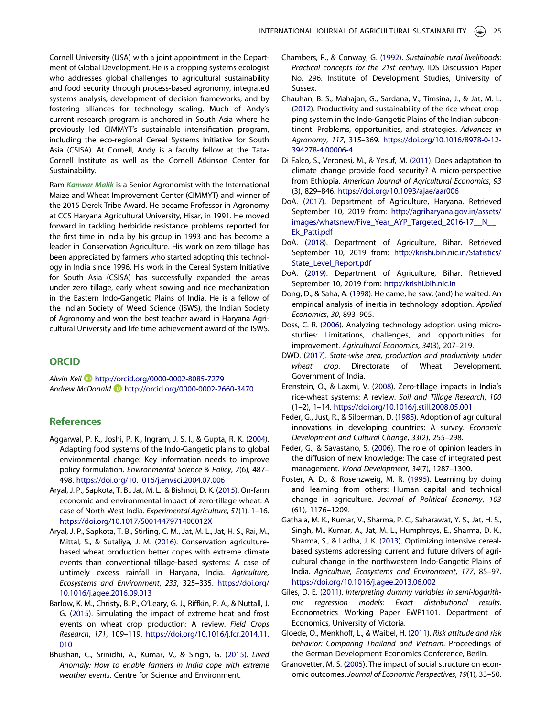<span id="page-25-0"></span>Cornell University (USA) with a joint appointment in the Department of Global Development. He is a cropping systems ecologist who addresses global challenges to agricultural sustainability and food security through process-based agronomy, integrated systems analysis, development of decision frameworks, and by fostering alliances for technology scaling. Much of Andy's current research program is anchored in South Asia where he previously led CIMMYT's sustainable intensification program, including the eco-regional Cereal Systems Initiative for South Asia (CSISA). At Cornell, Andy is a faculty fellow at the Tata-Cornell Institute as well as the Cornell Atkinson Center for Sustainability.

Ram *Kanwar Malik* is a Senior Agronomist with the International Maize and Wheat Improvement Center (CIMMYT) and winner of the 2015 Derek Tribe Award. He became Professor in Agronomy at CCS Haryana Agricultural University, Hisar, in 1991. He moved forward in tackling herbicide resistance problems reported for the first time in India by his group in 1993 and has become a leader in Conservation Agriculture. His work on zero tillage has been appreciated by farmers who started adopting this technology in India since 1996. His work in the Cereal System Initiative for South Asia (CSISA) has successfully expanded the areas under zero tillage, early wheat sowing and rice mechanization in the Eastern Indo-Gangetic Plains of India. He is a fellow of the Indian Society of Weed Science (ISWS), the Indian Society of Agronomy and won the best teacher award in Haryana Agricultural University and life time achievement award of the ISWS.

#### ORCID

*Alwin Keil* <http://orcid.org/0000-0002-8085-7279> *Andrew McDonald* <http://orcid.org/0000-0002-2660-3470>

#### References

- Aggarwal, P. K., Joshi, P. K., Ingram, J. S. I., & Gupta, R. K. ([2004](#page-1-0)). Adapting food systems of the Indo-Gangetic plains to global environmental change: Key information needs to improve policy formulation. *Environmental Science & Policy*, *7*(6), 487– 498. <https://doi.org/10.1016/j.envsci.2004.07.006>
- Aryal, J. P., Sapkota, T. B., Jat, M. L., & Bishnoi, D. K. [\(2015\)](#page-1-0). On-farm economic and environmental impact of zero-tillage wheat: A case of North-West India. *Experimental Agriculture*, *51*(1), 1–16. <https://doi.org/10.1017/S001447971400012X>
- Aryal, J. P., Sapkota, T. B., Stirling, C. M., Jat, M. L., Jat, H. S., Rai, M., Mittal, S., & Sutaliya, J. M. ([2016](#page-19-0)). Conservation agriculturebased wheat production better copes with extreme climate events than conventional tillage-based systems: A case of untimely excess rainfall in Haryana, India. *Agriculture, Ecosystems and Environment*, *233*, 325–335. [https://doi.org/](https://doi.org/10.1016/j.agee.2016.09.013) [10.1016/j.agee.2016.09.013](https://doi.org/10.1016/j.agee.2016.09.013)
- Barlow, K. M., Christy, B. P., O'Leary, G. J., Riffkin, P. A., & Nuttall, J. G. [\(2015](#page-2-0)). Simulating the impact of extreme heat and frost events on wheat crop production: A review. *Field Crops Research*, *171*, 109–119. [https://doi.org/10.1016/j.fcr.2014.11.](https://doi.org/10.1016/j.fcr.2014.11.010) [010](https://doi.org/10.1016/j.fcr.2014.11.010)
- Bhushan, C., Srinidhi, A., Kumar, V., & Singh, G. [\(2015\)](#page-2-0). *Lived Anomaly: How to enable farmers in India cope with extreme weather events*. Centre for Science and Environment.
- Chambers, R., & Conway, G. [\(1992](#page-6-0)). *Sustainable rural livelihoods: Practical concepts for the 21st century*. IDS Discussion Paper No. 296. Institute of Development Studies, University of Sussex.
- Chauhan, B. S., Mahajan, G., Sardana, V., Timsina, J., & Jat, M. L. [\(2012](#page-1-0)). Productivity and sustainability of the rice-wheat cropping system in the Indo-Gangetic Plains of the Indian subcontinent: Problems, opportunities, and strategies. *Advances in Agronomy*, *117*, 315–369. [https://doi.org/10.1016/B978-0-12-](https://doi.org/10.1016/B978-0-12-394278-4.00006-4) [394278-4.00006-4](https://doi.org/10.1016/B978-0-12-394278-4.00006-4)
- Di Falco, S., Veronesi, M., & Yesuf, M. ([2011\)](#page-5-0). Does adaptation to climate change provide food security? A micro-perspective from Ethiopia. *American Journal of Agricultural Economics*, *93* (3), 829–846. <https://doi.org/10.1093/ajae/aar006>
- DoA. [\(2017](#page-3-0)). Department of Agriculture, Haryana. Retrieved September 10, 2019 from: [http://agriharyana.gov.in/assets/](http://agriharyana.gov.in/assets/images/whatsnew/Five_Year_AYP_Targeted_2016-17__N__Ek_Patti.pdf) [images/whatsnew/Five\\_Year\\_AYP\\_Targeted\\_2016-17\\_\\_N\\_\\_](http://agriharyana.gov.in/assets/images/whatsnew/Five_Year_AYP_Targeted_2016-17__N__Ek_Patti.pdf) [Ek\\_Patti.pdf](http://agriharyana.gov.in/assets/images/whatsnew/Five_Year_AYP_Targeted_2016-17__N__Ek_Patti.pdf)
- DoA. ([2018](#page-3-0)). Department of Agriculture, Bihar. Retrieved September 10, 2019 from: [http://krishi.bih.nic.in/Statistics/](http://krishi.bih.nic.in/Statistics/State_Level_Report.pdf) [State\\_Level\\_Report.pdf](http://krishi.bih.nic.in/Statistics/State_Level_Report.pdf)
- DoA. ([2019](#page-1-0)). Department of Agriculture, Bihar. Retrieved September 10, 2019 from: <http://krishi.bih.nic.in>
- Dong, D., & Saha, A. [\(1998\)](#page-6-0). He came, he saw, (and) he waited: An empirical analysis of inertia in technology adoption. *Applied Economics*, *30*, 893–905.
- Doss, C. R. ([2006](#page-6-0)). Analyzing technology adoption using microstudies: Limitations, challenges, and opportunities for improvement. *Agricultural Economics*, *34*(3), 207–219.
- DWD. ([2017](#page-3-0)). *State-wise area, production and productivity under wheat crop*. Directorate of Wheat Development, Government of India.
- Erenstein, O., & Laxmi, V. [\(2008\)](#page-1-0). Zero-tillage impacts in India's rice-wheat systems: A review. *Soil and Tillage Research*, *100* (1–2), 1–14. <https://doi.org/10.1016/j.still.2008.05.001>
- Feder, G., Just, R., & Silberman, D. ([1985\)](#page-5-0). Adoption of agricultural innovations in developing countries: A survey. *Economic Development and Cultural Change*, *33*(2), 255–298.
- Feder, G., & Savastano, S. ([2006](#page-5-0)). The role of opinion leaders in the diffusion of new knowledge: The case of integrated pest management. *World Development*, *34*(7), 1287–1300.
- Foster, A. D., & Rosenzweig, M. R. ([1995\)](#page-5-0). Learning by doing and learning from others: Human capital and technical change in agriculture. *Journal of Political Economy*, *103* (61), 1176–1209.
- Gathala, M. K., Kumar, V., Sharma, P. C., Saharawat, Y. S., Jat, H. S., Singh, M., Kumar, A., Jat, M. L., Humphreys, E., Sharma, D. K., Sharma, S., & Ladha, J. K. [\(2013\)](#page-1-0). Optimizing intensive cerealbased systems addressing current and future drivers of agricultural change in the northwestern Indo-Gangetic Plains of India. *Agriculture, Ecosystems and Environment*, *177*, 85–97. <https://doi.org/10.1016/j.agee.2013.06.002>
- Giles, D. E. ([2011\)](#page-24-0). *Interpreting dummy variables in semi-logarithmic regression models: Exact distributional results*. Econometrics Working Paper EWP1101. Department of Economics, University of Victoria.
- Gloede, O., Menkhoff, L., & Waibel, H. [\(2011\)](#page-6-0). *Risk attitude and risk behavior: Comparing Thailand and Vietnam*. Proceedings of the German Development Economics Conference, Berlin.
- Granovetter, M. S. ([2005](#page-5-0)). The impact of social structure on economic outcomes. *Journal of Economic Perspectives*, *19*(1), 33–50.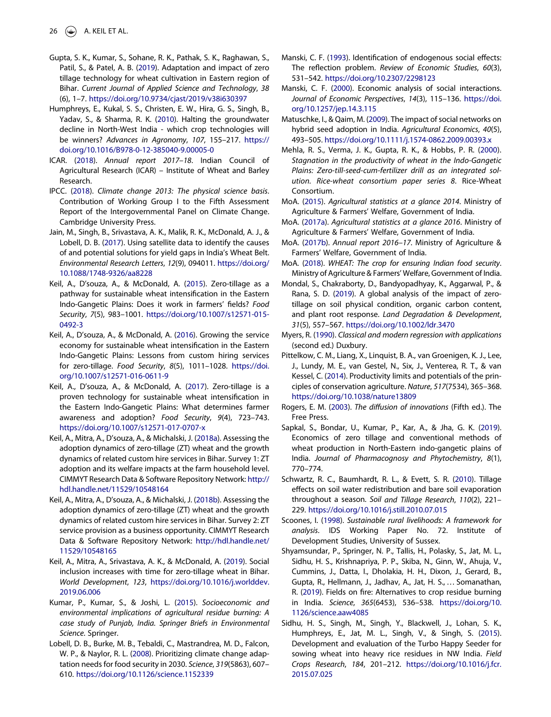- <span id="page-26-0"></span>Gupta, S. K., Kumar, S., Sohane, R. K., Pathak, S. K., Raghawan, S., Patil, S., & Patel, A. B. ([2019\)](#page-2-0). Adaptation and impact of zero tillage technology for wheat cultivation in Eastern region of Bihar. *Current Journal of Applied Science and Technology*, *38* (6), 1–7. <https://doi.org/10.9734/cjast/2019/v38i630397>
- Humphreys, E., Kukal, S. S., Christen, E. W., Hira, G. S., Singh, B., Yadav, S., & Sharma, R. K. [\(2010](#page-1-0)). Halting the groundwater decline in North-West India - which crop technologies will be winners? *Advances in Agronomy*, *107*, 155–217. [https://](https://doi.org/10.1016/B978-0-12-385040-9.00005-0) [doi.org/10.1016/B978-0-12-385040-9.00005-0](https://doi.org/10.1016/B978-0-12-385040-9.00005-0)
- ICAR. ([2018\)](#page-3-0). *Annual report 2017*–*18*. Indian Council of Agricultural Research (ICAR) – Institute of Wheat and Barley Research.
- IPCC. [\(2018](#page-2-0)). *Climate change 2013: The physical science basis*. Contribution of Working Group I to the Fifth Assessment Report of the Intergovernmental Panel on Climate Change. Cambridge University Press.
- Jain, M., Singh, B., Srivastava, A. K., Malik, R. K., McDonald, A. J., & Lobell, D. B. ([2017\)](#page-1-0). Using satellite data to identify the causes of and potential solutions for yield gaps in India's Wheat Belt. *Environmental Research Letters*, *12*(9), 094011. [https://doi.org/](https://doi.org/10.1088/1748-9326/aa8228) [10.1088/1748-9326/aa8228](https://doi.org/10.1088/1748-9326/aa8228)
- Keil, A., D'souza, A., & McDonald, A. [\(2015\)](#page-2-0). Zero-tillage as a pathway for sustainable wheat intensification in the Eastern Indo-Gangetic Plains: Does it work in farmers' fields? *Food Security*, *7*(5), 983–1001. [https://doi.org/10.1007/s12571-015-](https://doi.org/10.1007/s12571-015-0492-3) [0492-3](https://doi.org/10.1007/s12571-015-0492-3)
- Keil, A., D'souza, A., & McDonald, A. ([2016](#page-15-0)). Growing the service economy for sustainable wheat intensification in the Eastern Indo-Gangetic Plains: Lessons from custom hiring services for zero-tillage. *Food Security*, *8*(5), 1011–1028. [https://doi.](https://doi.org/10.1007/s12571-016-0611-9) [org/10.1007/s12571-016-0611-9](https://doi.org/10.1007/s12571-016-0611-9)
- Keil, A., D'souza, A., & McDonald, A. ([2017\)](#page-4-0). Zero-tillage is a proven technology for sustainable wheat intensification in the Eastern Indo-Gangetic Plains: What determines farmer awareness and adoption? *Food Security*, *9*(4), 723–743. <https://doi.org/10.1007/s12571-017-0707-x>
- Keil, A., Mitra, A., D'souza, A., & Michalski, J. [\(2018a](#page-4-0)). Assessing the adoption dynamics of zero-tillage (ZT) wheat and the growth dynamics of related custom hire services in Bihar. Survey 1: ZT adoption and its welfare impacts at the farm household level. CIMMYT Research Data & Software Repository Network: [http://](http://hdl.handle.net/11529/10548164) [hdl.handle.net/11529/10548164](http://hdl.handle.net/11529/10548164)
- Keil, A., Mitra, A., D'souza, A., & Michalski, J. ([2018b\)](#page-24-0). Assessing the adoption dynamics of zero-tillage (ZT) wheat and the growth dynamics of related custom hire services in Bihar. Survey 2: ZT service provision as a business opportunity. CIMMYT Research Data & Software Repository Network: [http://hdl.handle.net/](http://hdl.handle.net/11529/10548165) [11529/10548165](http://hdl.handle.net/11529/10548165)
- Keil, A., Mitra, A., Srivastava, A. K., & McDonald, A. ([2019](#page-24-0)). Social inclusion increases with time for zero-tillage wheat in Bihar. *World Development*, *123*, [https://doi.org/10.1016/j.worlddev.](https://doi.org/10.1016/j.worlddev.2019.06.006) [2019.06.006](https://doi.org/10.1016/j.worlddev.2019.06.006)
- Kumar, P., Kumar, S., & Joshi, L. ([2015](#page-23-0)). *Socioeconomic and environmental implications of agricultural residue burning: A case study of Punjab, India. Springer Briefs in Environmental Science*. Springer.
- Lobell, D. B., Burke, M. B., Tebaldi, C., Mastrandrea, M. D., Falcon, W. P., & Naylor, R. L. ([2008](#page-2-0)). Prioritizing climate change adaptation needs for food security in 2030. *Science*, *319*(5863), 607– 610. <https://doi.org/10.1126/science.1152339>
- Manski, C. F. [\(1993\)](#page-6-0). Identification of endogenous social effects: The reflection problem. *Review of Economic Studies*, *60*(3), 531–542. <https://doi.org/10.2307/2298123>
- Manski, C. F. [\(2000](#page-5-0)). Economic analysis of social interactions. *Journal of Economic Perspectives*, *14*(3), 115–136. [https://doi.](https://doi.org/10.1257/jep.14.3.115) [org/10.1257/jep.14.3.115](https://doi.org/10.1257/jep.14.3.115)
- Matuschke, I., & Qaim, M. ([2009\)](#page-5-0). The impact of social networks on hybrid seed adoption in India. *Agricultural Economics*, *40*(5), 493–505. <https://doi.org/10.1111/j.1574-0862.2009.00393.x>
- Mehla, R. S., Verma, J. K., Gupta, R. K., & Hobbs, P. R. [\(2000\)](#page-2-0). *Stagnation in the productivity of wheat in the Indo-Gangetic Plains: Zero-till-seed-cum-fertilizer drill as an integrated solution. Rice-wheat consortium paper series 8*. Rice-Wheat Consortium.
- MoA. [\(2015\)](#page-2-0). *Agricultural statistics at a glance 2014*. Ministry of Agriculture & Farmers' Welfare, Government of India.
- MoA. ([2017a](#page-1-0)). *Agricultural statistics at a glance 2016*. Ministry of Agriculture & Farmers' Welfare, Government of India.
- MoA. [\(2017b\)](#page-3-0). *Annual report 2016*–*17*. Ministry of Agriculture & Farmers' Welfare, Government of India.
- MoA. [\(2018](#page-3-0)). *WHEAT: The crop for ensuring Indian food security*. Ministry of Agriculture & Farmers' Welfare, Government of India.
- Mondal, S., Chakraborty, D., Bandyopadhyay, K., Aggarwal, P., & Rana, S. D. [\(2019](#page-19-0)). A global analysis of the impact of zerotillage on soil physical condition, organic carbon content, and plant root response. *Land Degradation & Development*, *31*(5), 557–567. <https://doi.org/10.1002/ldr.3470>
- Myers, R. [\(1990](#page-15-0)). *Classical and modern regression with applications* (second ed.) Duxbury.
- Pittelkow, C. M., Liang, X., Linquist, B. A., van Groenigen, K. J., Lee, J., Lundy, M. E., van Gestel, N., Six, J., Venterea, R. T., & van Kessel, C. [\(2014](#page-2-0)). Productivity limits and potentials of the principles of conservation agriculture. *Nature*, *517*(7534), 365–368. <https://doi.org/10.1038/nature13809>
- Rogers, E. M. [\(2003](#page-6-0)). *The di*ff*usion of innovations* (Fifth ed.). The Free Press.
- Sapkal, S., Bondar, U., Kumar, P., Kar, A., & Jha, G. K. ([2019\)](#page-2-0). Economics of zero tillage and conventional methods of wheat production in North-Eastern indo-gangetic plains of India. *Journal of Pharmacognosy and Phytochemistry*, *8*(1), 770–774.
- Schwartz, R. C., Baumhardt, R. L., & Evett, S. R. [\(2010\)](#page-19-0). Tillage effects on soil water redistribution and bare soil evaporation throughout a season. *Soil and Tillage Research*, *110*(2), 221– 229. <https://doi.org/10.1016/j.still.2010.07.015>
- Scoones, I. ([1998\)](#page-6-0). *Sustainable rural livelihoods: A framework for analysis*. IDS Working Paper No. 72. Institute of Development Studies, University of Sussex.
- Shyamsundar, P., Springer, N. P., Tallis, H., Polasky, S., Jat, M. L., Sidhu, H. S., Krishnapriya, P. P., Skiba, N., Ginn, W., Ahuja, V., Cummins, J., Datta, I., Dholakia, H. H., Dixon, J., Gerard, B., Gupta, R., Hellmann, J., Jadhav, A., Jat, H. S., … Somanathan, R. ([2019\)](#page-23-0). Fields on fire: Alternatives to crop residue burning in India. *Science*, *365*(6453), 536–538. [https://doi.org/10.](https://doi.org/10.1126/science.aaw4085) [1126/science.aaw4085](https://doi.org/10.1126/science.aaw4085)
- Sidhu, H. S., Singh, M., Singh, Y., Blackwell, J., Lohan, S. K., Humphreys, E., Jat, M. L., Singh, V., & Singh, S. ([2015\)](#page-23-0). Development and evaluation of the Turbo Happy Seeder for sowing wheat into heavy rice residues in NW India. *Field Crops Research*, *184*, 201–212. [https://doi.org/10.1016/j.fcr.](https://doi.org/10.1016/j.fcr.2015.07.025) [2015.07.025](https://doi.org/10.1016/j.fcr.2015.07.025)